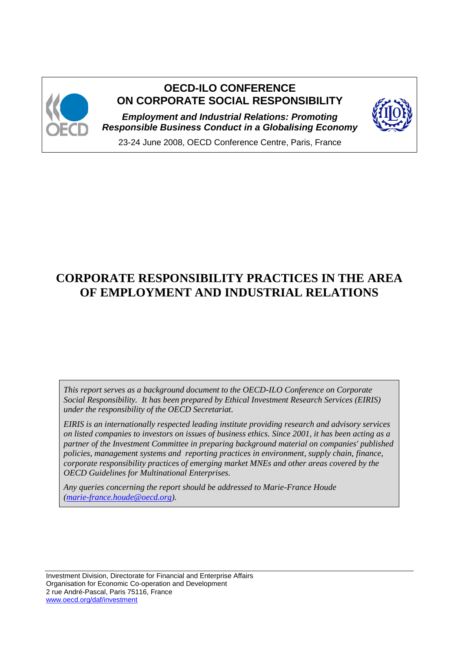

# **OECD-ILO CONFERENCE ON CORPORATE SOCIAL RESPONSIBILITY**

*Employment and Industrial Relations: Promoting Responsible Business Conduct in a Globalising Economy*



23-24 June 2008, OECD Conference Centre, Paris, France

# **CORPORATE RESPONSIBILITY PRACTICES IN THE AREA OF EMPLOYMENT AND INDUSTRIAL RELATIONS**

*This report serves as a background document to the OECD-ILO Conference on Corporate Social Responsibility. It has been prepared by Ethical Investment Research Services (EIRIS) under the responsibility of the OECD Secretariat.* 

*EIRIS is an internationally respected leading institute providing research and advisory services on listed companies to investors on issues of business ethics. Since 2001, it has been acting as a partner of the Investment Committee in preparing background material on companies' published policies, management systems and reporting practices in environment, supply chain, finance, corporate responsibility practices of emerging market MNEs and other areas covered by the OECD Guidelines for Multinational Enterprises.* 

*Any queries concerning the report should be addressed to Marie-France Houde [\(marie-france.houde@oecd.org\)](mailto:marie-france.houde@oecd.org).*

Investment Division, Directorate for Financial and Enterprise Affairs Organisation for Economic Co-operation and Development 2 rue André-Pascal, Paris 75116, France www.oecd.org/daf/investment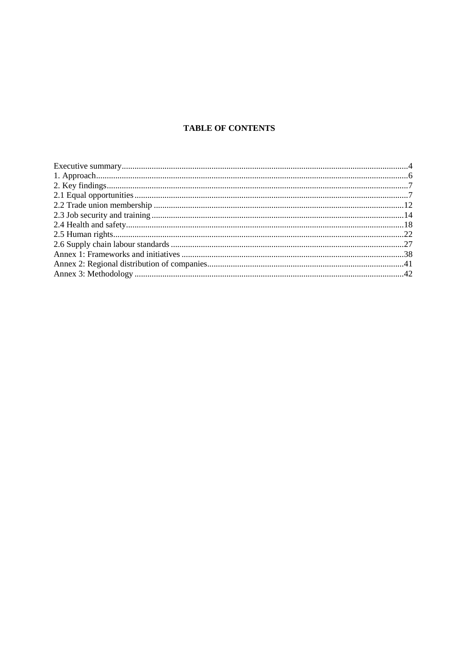# **TABLE OF CONTENTS**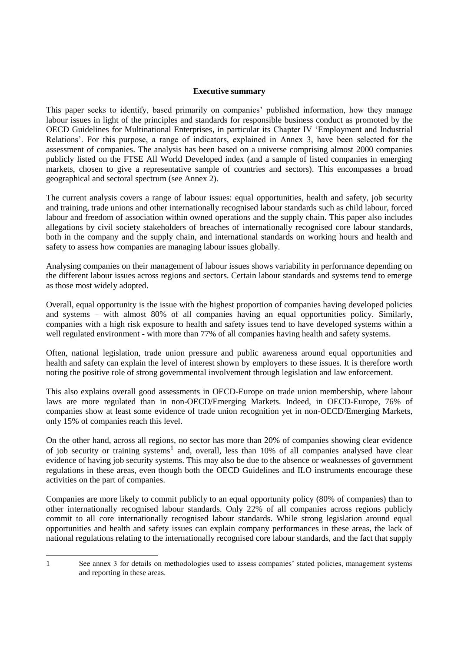#### **Executive summary**

This paper seeks to identify, based primarily on companies' published information, how they manage labour issues in light of the principles and standards for responsible business conduct as promoted by the OECD Guidelines for Multinational Enterprises, in particular its Chapter IV "Employment and Industrial Relations'. For this purpose, a range of indicators, explained in Annex 3, have been selected for the assessment of companies. The analysis has been based on a universe comprising almost 2000 companies publicly listed on the FTSE All World Developed index (and a sample of listed companies in emerging markets, chosen to give a representative sample of countries and sectors). This encompasses a broad geographical and sectoral spectrum (see Annex 2).

The current analysis covers a range of labour issues: equal opportunities, health and safety, job security and training, trade unions and other internationally recognised labour standards such as child labour, forced labour and freedom of association within owned operations and the supply chain. This paper also includes allegations by civil society stakeholders of breaches of internationally recognised core labour standards, both in the company and the supply chain, and international standards on working hours and health and safety to assess how companies are managing labour issues globally.

Analysing companies on their management of labour issues shows variability in performance depending on the different labour issues across regions and sectors. Certain labour standards and systems tend to emerge as those most widely adopted.

Overall, equal opportunity is the issue with the highest proportion of companies having developed policies and systems – with almost 80% of all companies having an equal opportunities policy. Similarly, companies with a high risk exposure to health and safety issues tend to have developed systems within a well regulated environment - with more than 77% of all companies having health and safety systems.

Often, national legislation, trade union pressure and public awareness around equal opportunities and health and safety can explain the level of interest shown by employers to these issues. It is therefore worth noting the positive role of strong governmental involvement through legislation and law enforcement.

This also explains overall good assessments in OECD-Europe on trade union membership, where labour laws are more regulated than in non-OECD/Emerging Markets. Indeed, in OECD-Europe, 76% of companies show at least some evidence of trade union recognition yet in non-OECD/Emerging Markets, only 15% of companies reach this level.

On the other hand, across all regions, no sector has more than 20% of companies showing clear evidence of job security or training systems<sup>1</sup> and, overall, less than 10% of all companies analysed have clear evidence of having job security systems. This may also be due to the absence or weaknesses of government regulations in these areas, even though both the OECD Guidelines and ILO instruments encourage these activities on the part of companies.

Companies are more likely to commit publicly to an equal opportunity policy (80% of companies) than to other internationally recognised labour standards. Only 22% of all companies across regions publicly commit to all core internationally recognised labour standards. While strong legislation around equal opportunities and health and safety issues can explain company performances in these areas, the lack of national regulations relating to the internationally recognised core labour standards, and the fact that supply

l

<sup>1</sup> See annex 3 for details on methodologies used to assess companies" stated policies, management systems and reporting in these areas.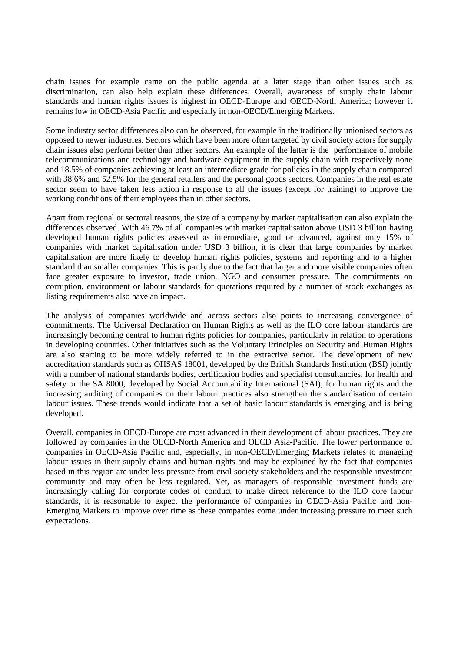chain issues for example came on the public agenda at a later stage than other issues such as discrimination, can also help explain these differences. Overall, awareness of supply chain labour standards and human rights issues is highest in OECD-Europe and OECD-North America; however it remains low in OECD-Asia Pacific and especially in non-OECD/Emerging Markets.

Some industry sector differences also can be observed, for example in the traditionally unionised sectors as opposed to newer industries. Sectors which have been more often targeted by civil society actors for supply chain issues also perform better than other sectors. An example of the latter is the performance of mobile telecommunications and technology and hardware equipment in the supply chain with respectively none and 18.5% of companies achieving at least an intermediate grade for policies in the supply chain compared with 38.6% and 52.5% for the general retailers and the personal goods sectors. Companies in the real estate sector seem to have taken less action in response to all the issues (except for training) to improve the working conditions of their employees than in other sectors.

Apart from regional or sectoral reasons, the size of a company by market capitalisation can also explain the differences observed. With 46.7% of all companies with market capitalisation above USD 3 billion having developed human rights policies assessed as intermediate, good or advanced, against only 15% of companies with market capitalisation under USD 3 billion, it is clear that large companies by market capitalisation are more likely to develop human rights policies, systems and reporting and to a higher standard than smaller companies. This is partly due to the fact that larger and more visible companies often face greater exposure to investor, trade union, NGO and consumer pressure. The commitments on corruption, environment or labour standards for quotations required by a number of stock exchanges as listing requirements also have an impact.

The analysis of companies worldwide and across sectors also points to increasing convergence of commitments. The Universal Declaration on Human Rights as well as the ILO core labour standards are increasingly becoming central to human rights policies for companies, particularly in relation to operations in developing countries. Other initiatives such as the Voluntary Principles on Security and Human Rights are also starting to be more widely referred to in the extractive sector. The development of new accreditation standards such as OHSAS 18001, developed by the British Standards Institution (BSI) jointly with a number of national standards bodies, certification bodies and specialist consultancies, for health and safety or the SA 8000, developed by Social Accountability International (SAI), for human rights and the increasing auditing of companies on their labour practices also strengthen the standardisation of certain labour issues. These trends would indicate that a set of basic labour standards is emerging and is being developed.

Overall, companies in OECD-Europe are most advanced in their development of labour practices. They are followed by companies in the OECD-North America and OECD Asia-Pacific. The lower performance of companies in OECD-Asia Pacific and, especially, in non-OECD/Emerging Markets relates to managing labour issues in their supply chains and human rights and may be explained by the fact that companies based in this region are under less pressure from civil society stakeholders and the responsible investment community and may often be less regulated. Yet, as managers of responsible investment funds are increasingly calling for corporate codes of conduct to make direct reference to the ILO core labour standards, it is reasonable to expect the performance of companies in OECD-Asia Pacific and non-Emerging Markets to improve over time as these companies come under increasing pressure to meet such expectations.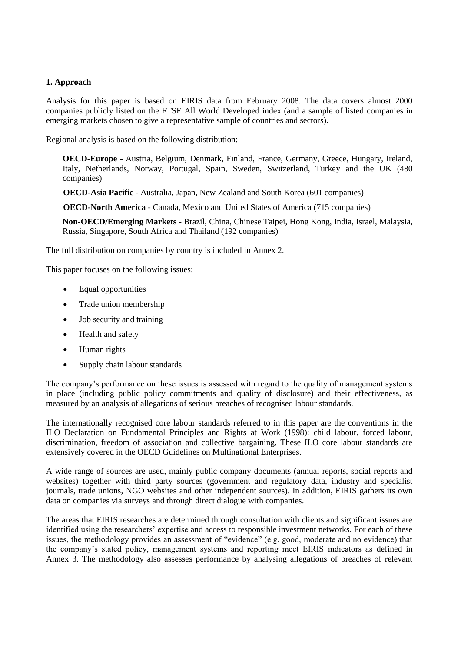# **1. Approach**

Analysis for this paper is based on EIRIS data from February 2008. The data covers almost 2000 companies publicly listed on the FTSE All World Developed index (and a sample of listed companies in emerging markets chosen to give a representative sample of countries and sectors).

Regional analysis is based on the following distribution:

**OECD-Europe** - Austria, Belgium, Denmark, Finland, France, Germany, Greece, Hungary, Ireland, Italy, Netherlands, Norway, Portugal, Spain, Sweden, Switzerland, Turkey and the UK (480 companies)

**OECD-Asia Pacific** - Australia, Japan, New Zealand and South Korea (601 companies)

**OECD-North America** - Canada, Mexico and United States of America (715 companies)

**Non-OECD/Emerging Markets** - Brazil, China, Chinese Taipei, Hong Kong, India, Israel, Malaysia, Russia, Singapore, South Africa and Thailand (192 companies)

The full distribution on companies by country is included in Annex 2.

This paper focuses on the following issues:

- Equal opportunities
- Trade union membership
- Job security and training
- Health and safety
- Human rights
- Supply chain labour standards

The company's performance on these issues is assessed with regard to the quality of management systems in place (including public policy commitments and quality of disclosure) and their effectiveness, as measured by an analysis of allegations of serious breaches of recognised labour standards.

The internationally recognised core labour standards referred to in this paper are the conventions in the ILO Declaration on Fundamental Principles and Rights at Work (1998): child labour, forced labour, discrimination, freedom of association and collective bargaining. These ILO core labour standards are extensively covered in the OECD Guidelines on Multinational Enterprises.

A wide range of sources are used, mainly public company documents (annual reports, social reports and websites) together with third party sources (government and regulatory data, industry and specialist journals, trade unions, NGO websites and other independent sources). In addition, EIRIS gathers its own data on companies via surveys and through direct dialogue with companies.

The areas that EIRIS researches are determined through consultation with clients and significant issues are identified using the researchers' expertise and access to responsible investment networks. For each of these issues, the methodology provides an assessment of "evidence" (e.g. good, moderate and no evidence) that the company"s stated policy, management systems and reporting meet EIRIS indicators as defined in Annex 3. The methodology also assesses performance by analysing allegations of breaches of relevant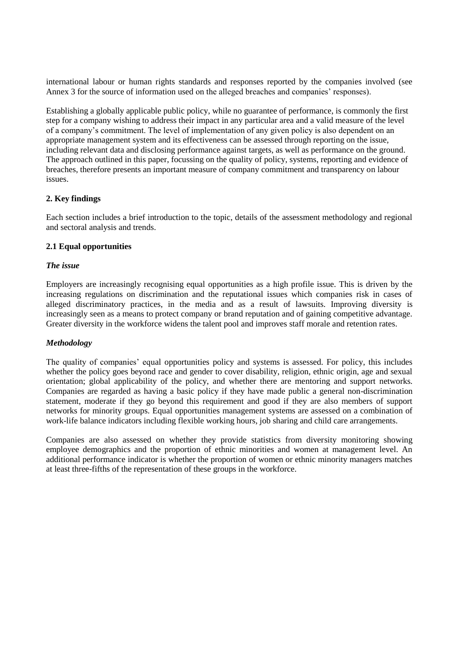international labour or human rights standards and responses reported by the companies involved (see Annex 3 for the source of information used on the alleged breaches and companies' responses).

Establishing a globally applicable public policy, while no guarantee of performance, is commonly the first step for a company wishing to address their impact in any particular area and a valid measure of the level of a company"s commitment. The level of implementation of any given policy is also dependent on an appropriate management system and its effectiveness can be assessed through reporting on the issue, including relevant data and disclosing performance against targets, as well as performance on the ground. The approach outlined in this paper, focussing on the quality of policy, systems, reporting and evidence of breaches, therefore presents an important measure of company commitment and transparency on labour issues.

# **2. Key findings**

Each section includes a brief introduction to the topic, details of the assessment methodology and regional and sectoral analysis and trends.

# **2.1 Equal opportunities**

## *The issue*

Employers are increasingly recognising equal opportunities as a high profile issue. This is driven by the increasing regulations on discrimination and the reputational issues which companies risk in cases of alleged discriminatory practices, in the media and as a result of lawsuits. Improving diversity is increasingly seen as a means to protect company or brand reputation and of gaining competitive advantage. Greater diversity in the workforce widens the talent pool and improves staff morale and retention rates.

## *Methodology*

The quality of companies" equal opportunities policy and systems is assessed. For policy, this includes whether the policy goes beyond race and gender to cover disability, religion, ethnic origin, age and sexual orientation; global applicability of the policy, and whether there are mentoring and support networks. Companies are regarded as having a basic policy if they have made public a general non-discrimination statement, moderate if they go beyond this requirement and good if they are also members of support networks for minority groups. Equal opportunities management systems are assessed on a combination of work-life balance indicators including flexible working hours, job sharing and child care arrangements.

Companies are also assessed on whether they provide statistics from diversity monitoring showing employee demographics and the proportion of ethnic minorities and women at management level. An additional performance indicator is whether the proportion of women or ethnic minority managers matches at least three-fifths of the representation of these groups in the workforce.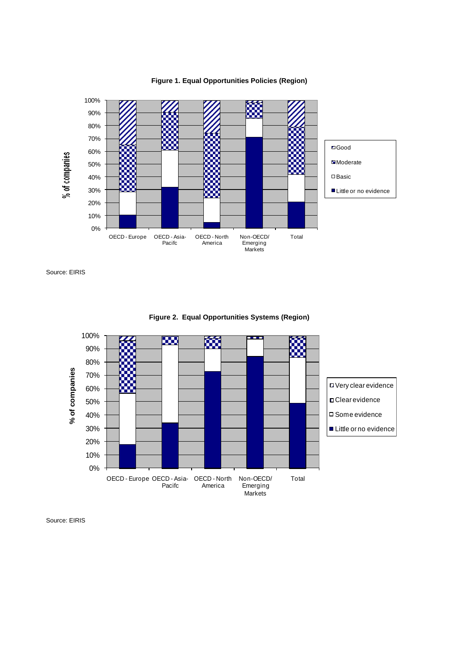

#### **Figure 1. Equal Opportunities Policies (Region)**

Source: EIRIS



# **Figure 2. Equal Opportunities Systems (Region)**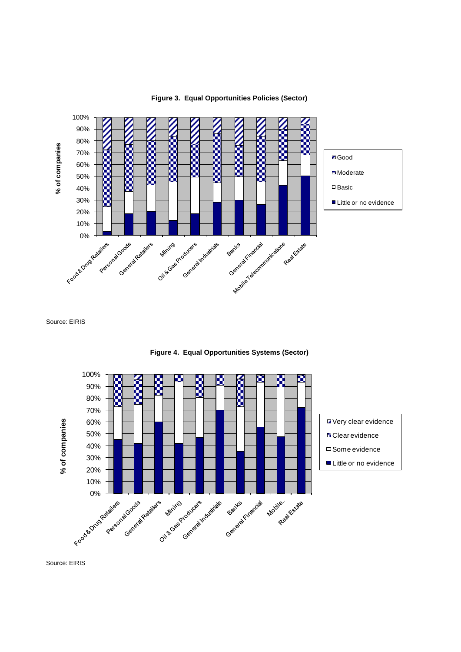

#### **Figure 3. Equal Opportunities Policies (Sector)**

Source: EIRIS



**Figure 4. Equal Opportunities Systems (Sector)**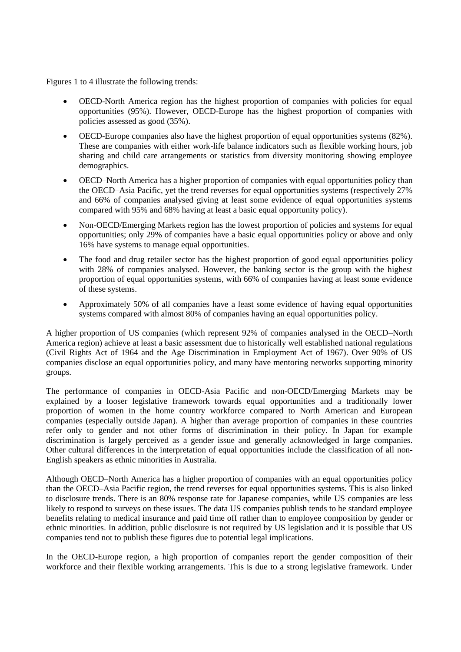Figures 1 to 4 illustrate the following trends:

- OECD-North America region has the highest proportion of companies with policies for equal opportunities (95%). However, OECD-Europe has the highest proportion of companies with policies assessed as good (35%).
- OECD-Europe companies also have the highest proportion of equal opportunities systems (82%). These are companies with either work-life balance indicators such as flexible working hours, job sharing and child care arrangements or statistics from diversity monitoring showing employee demographics.
- OECD–North America has a higher proportion of companies with equal opportunities policy than the OECD–Asia Pacific, yet the trend reverses for equal opportunities systems (respectively 27% and 66% of companies analysed giving at least some evidence of equal opportunities systems compared with 95% and 68% having at least a basic equal opportunity policy).
- Non-OECD/Emerging Markets region has the lowest proportion of policies and systems for equal opportunities; only 29% of companies have a basic equal opportunities policy or above and only 16% have systems to manage equal opportunities.
- The food and drug retailer sector has the highest proportion of good equal opportunities policy with 28% of companies analysed. However, the banking sector is the group with the highest proportion of equal opportunities systems, with 66% of companies having at least some evidence of these systems.
- Approximately 50% of all companies have a least some evidence of having equal opportunities systems compared with almost 80% of companies having an equal opportunities policy.

A higher proportion of US companies (which represent 92% of companies analysed in the OECD–North America region) achieve at least a basic assessment due to historically well established national regulations (Civil Rights Act of 1964 and the Age Discrimination in Employment Act of 1967). Over 90% of US companies disclose an equal opportunities policy, and many have mentoring networks supporting minority groups.

The performance of companies in OECD-Asia Pacific and non-OECD/Emerging Markets may be explained by a looser legislative framework towards equal opportunities and a traditionally lower proportion of women in the home country workforce compared to North American and European companies (especially outside Japan). A higher than average proportion of companies in these countries refer only to gender and not other forms of discrimination in their policy. In Japan for example discrimination is largely perceived as a gender issue and generally acknowledged in large companies. Other cultural differences in the interpretation of equal opportunities include the classification of all non-English speakers as ethnic minorities in Australia.

Although OECD–North America has a higher proportion of companies with an equal opportunities policy than the OECD–Asia Pacific region, the trend reverses for equal opportunities systems. This is also linked to disclosure trends. There is an 80% response rate for Japanese companies, while US companies are less likely to respond to surveys on these issues. The data US companies publish tends to be standard employee benefits relating to medical insurance and paid time off rather than to employee composition by gender or ethnic minorities. In addition, public disclosure is not required by US legislation and it is possible that US companies tend not to publish these figures due to potential legal implications.

In the OECD-Europe region, a high proportion of companies report the gender composition of their workforce and their flexible working arrangements. This is due to a strong legislative framework. Under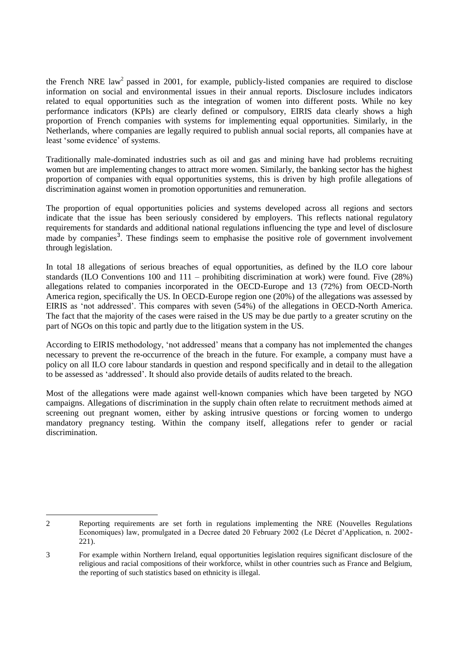the French NRE law<sup>2</sup> passed in 2001, for example, publicly-listed companies are required to disclose information on social and environmental issues in their annual reports. Disclosure includes indicators related to equal opportunities such as the integration of women into different posts. While no key performance indicators (KPIs) are clearly defined or compulsory, EIRIS data clearly shows a high proportion of French companies with systems for implementing equal opportunities. Similarly, in the Netherlands, where companies are legally required to publish annual social reports, all companies have at least 'some evidence' of systems.

Traditionally male-dominated industries such as oil and gas and mining have had problems recruiting women but are implementing changes to attract more women. Similarly, the banking sector has the highest proportion of companies with equal opportunities systems, this is driven by high profile allegations of discrimination against women in promotion opportunities and remuneration.

The proportion of equal opportunities policies and systems developed across all regions and sectors indicate that the issue has been seriously considered by employers. This reflects national regulatory requirements for standards and additional national regulations influencing the type and level of disclosure made by companies<sup>3</sup>. These findings seem to emphasise the positive role of government involvement through legislation.

In total 18 allegations of serious breaches of equal opportunities, as defined by the ILO core labour standards (ILO Conventions 100 and 111 – prohibiting discrimination at work) were found. Five (28%) allegations related to companies incorporated in the OECD-Europe and 13 (72%) from OECD-North America region, specifically the US. In OECD-Europe region one (20%) of the allegations was assessed by EIRIS as "not addressed". This compares with seven (54%) of the allegations in OECD-North America. The fact that the majority of the cases were raised in the US may be due partly to a greater scrutiny on the part of NGOs on this topic and partly due to the litigation system in the US.

According to EIRIS methodology, "not addressed" means that a company has not implemented the changes necessary to prevent the re-occurrence of the breach in the future. For example, a company must have a policy on all ILO core labour standards in question and respond specifically and in detail to the allegation to be assessed as "addressed". It should also provide details of audits related to the breach.

Most of the allegations were made against well-known companies which have been targeted by NGO campaigns. Allegations of discrimination in the supply chain often relate to recruitment methods aimed at screening out pregnant women, either by asking intrusive questions or forcing women to undergo mandatory pregnancy testing. Within the company itself, allegations refer to gender or racial discrimination.

l 2 Reporting requirements are set forth in regulations implementing the NRE (Nouvelles Regulations Economiques) law, promulgated in a Decree dated 20 February 2002 (Le Décret d"Application, n. 2002- 221).

<sup>3</sup> For example within Northern Ireland, equal opportunities legislation requires significant disclosure of the religious and racial compositions of their workforce, whilst in other countries such as France and Belgium, the reporting of such statistics based on ethnicity is illegal.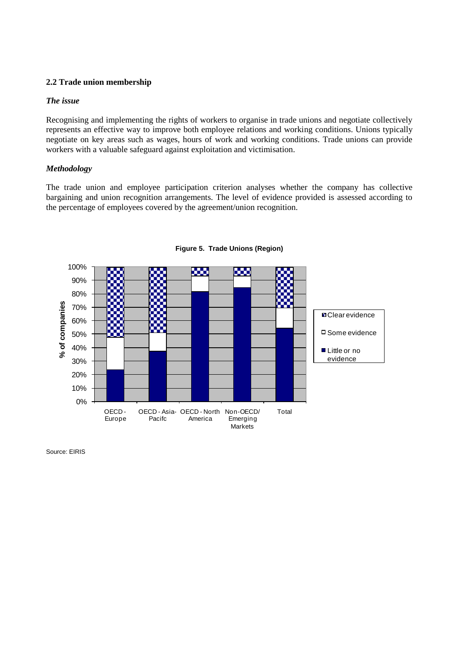# **2.2 Trade union membership**

#### *The issue*

Recognising and implementing the rights of workers to organise in trade unions and negotiate collectively represents an effective way to improve both employee relations and working conditions. Unions typically negotiate on key areas such as wages, hours of work and working conditions. Trade unions can provide workers with a valuable safeguard against exploitation and victimisation.

## *Methodology*

The trade union and employee participation criterion analyses whether the company has collective bargaining and union recognition arrangements. The level of evidence provided is assessed according to the percentage of employees covered by the agreement/union recognition.



**Figure 5. Trade Unions (Region)**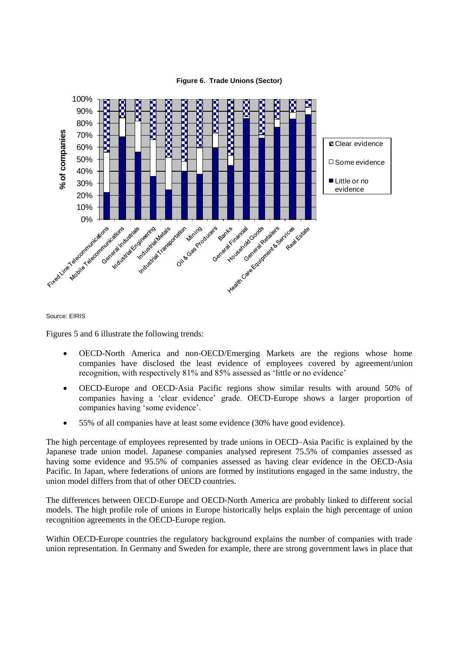

#### **Figure 6. Trade Unions (Sector)**

Source: EIRIS

Figures 5 and 6 illustrate the following trends:

- OECD-North America and non-OECD/Emerging Markets are the regions whose home companies have disclosed the least evidence of employees covered by agreement/union recognition, with respectively 81% and 85% assessed as "little or no evidence"
- OECD-Europe and OECD-Asia Pacific regions show similar results with around 50% of companies having a "clear evidence" grade. OECD-Europe shows a larger proportion of companies having "some evidence".
- 55% of all companies have at least some evidence (30% have good evidence).

The high percentage of employees represented by trade unions in OECD–Asia Pacific is explained by the Japanese trade union model. Japanese companies analysed represent 75.5% of companies assessed as having some evidence and 95.5% of companies assessed as having clear evidence in the OECD-Asia Pacific. In Japan, where federations of unions are formed by institutions engaged in the same industry, the union model differs from that of other OECD countries.

The differences between OECD-Europe and OECD-North America are probably linked to different social models. The high profile role of unions in Europe historically helps explain the high percentage of union recognition agreements in the OECD-Europe region.

Within OECD-Europe countries the regulatory background explains the number of companies with trade union representation. In Germany and Sweden for example, there are strong government laws in place that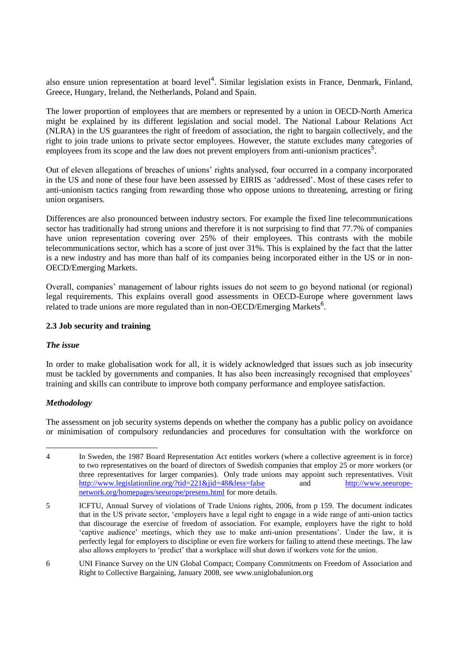also ensure union representation at board level<sup>4</sup>. Similar legislation exists in France, Denmark, Finland, Greece, Hungary, Ireland, the Netherlands, Poland and Spain.

The lower proportion of employees that are members or represented by a union in OECD-North America might be explained by its different legislation and social model. The National Labour Relations Act (NLRA) in the US guarantees the right of freedom of association, the right to bargain collectively, and the right to join trade unions to private sector employees. However, the statute excludes many categories of employees from its scope and the law does not prevent employers from anti-unionism practices<sup>5</sup>.

Out of eleven allegations of breaches of unions" rights analysed, four occurred in a company incorporated in the US and none of these four have been assessed by EIRIS as "addressed". Most of these cases refer to anti-unionism tactics ranging from rewarding those who oppose unions to threatening, arresting or firing union organisers.

Differences are also pronounced between industry sectors. For example the fixed line telecommunications sector has traditionally had strong unions and therefore it is not surprising to find that 77.7% of companies have union representation covering over 25% of their employees. This contrasts with the mobile telecommunications sector, which has a score of just over 31%. This is explained by the fact that the latter is a new industry and has more than half of its companies being incorporated either in the US or in non-OECD/Emerging Markets.

Overall, companies" management of labour rights issues do not seem to go beyond national (or regional) legal requirements. This explains overall good assessments in OECD-Europe where government laws related to trade unions are more regulated than in non-OECD/Emerging Markets<sup>6</sup>.

# **2.3 Job security and training**

## *The issue*

In order to make globalisation work for all, it is widely acknowledged that issues such as job insecurity must be tackled by governments and companies. It has also been increasingly recognised that employees' training and skills can contribute to improve both company performance and employee satisfaction.

# *Methodology*

 $\overline{a}$ 

The assessment on job security systems depends on whether the company has a public policy on avoidance or minimisation of compulsory redundancies and procedures for consultation with the workforce on

<sup>4</sup> In Sweden, the 1987 Board Representation Act entitles workers (where a collective agreement is in force) to two representatives on the board of directors of Swedish companies that employ 25 or more workers (or three representatives for larger companies). Only trade unions may appoint such representatives. Visit <http://www.legislationline.org/?tid=221&jid=48&less=false> and [http://www.seeurope](http://www.seeurope-network.org/homepages/seeurope/presens.html)[network.org/homepages/seeurope/presens.html](http://www.seeurope-network.org/homepages/seeurope/presens.html) for more details.

<sup>5</sup> ICFTU, Annual Survey of violations of Trade Unions rights, 2006, from p 159. The document indicates that in the US private sector, "employers have a legal right to engage in a wide range of anti-union tactics that discourage the exercise of freedom of association. For example, employers have the right to hold "captive audience" meetings, which they use to make anti-union presentations". Under the law, it is perfectly legal for employers to discipline or even fire workers for failing to attend these meetings. The law also allows employers to "predict" that a workplace will shut down if workers vote for the union.

<sup>6</sup> UNI Finance Survey on the UN Global Compact; Company Commitments on Freedom of Association and Right to Collective Bargaining, January 2008, see [www.uniglobalunion.org](http://www.uniglobalunion.org/)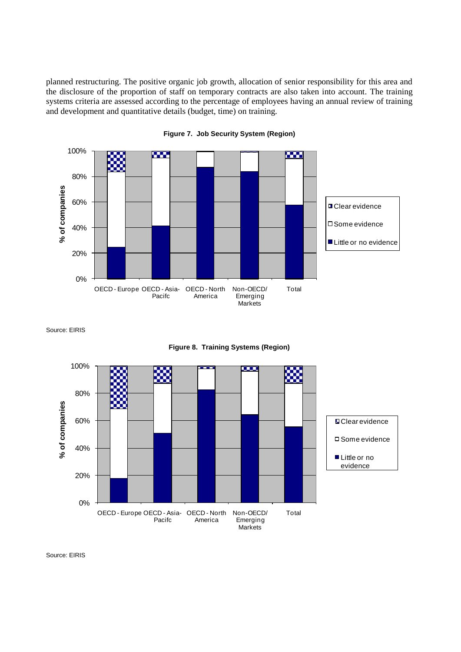planned restructuring. The positive organic job growth, allocation of senior responsibility for this area and the disclosure of the proportion of staff on temporary contracts are also taken into account. The training systems criteria are assessed according to the percentage of employees having an annual review of training and development and quantitative details (budget, time) on training.



**Figure 7. Job Security System (Region)**

Source: EIRIS



**Figure 8. Training Systems (Region)**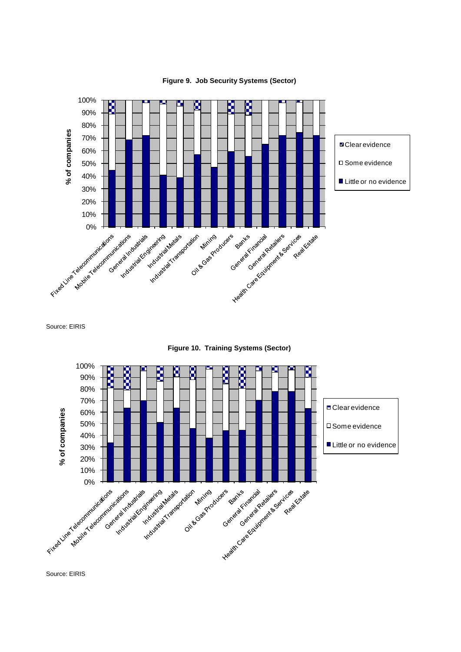

#### **Figure 9. Job Security Systems (Sector)**

Source: EIRIS



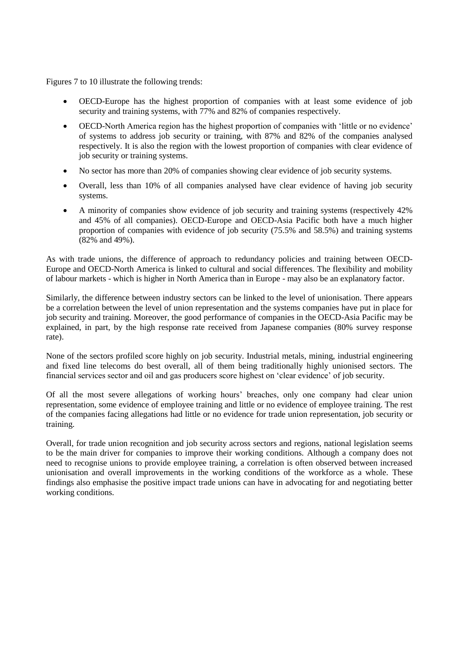Figures 7 to 10 illustrate the following trends:

- OECD-Europe has the highest proportion of companies with at least some evidence of job security and training systems, with 77% and 82% of companies respectively.
- OECD-North America region has the highest proportion of companies with "little or no evidence" of systems to address job security or training, with 87% and 82% of the companies analysed respectively. It is also the region with the lowest proportion of companies with clear evidence of job security or training systems.
- No sector has more than 20% of companies showing clear evidence of job security systems.
- Overall, less than 10% of all companies analysed have clear evidence of having job security systems.
- A minority of companies show evidence of job security and training systems (respectively 42% and 45% of all companies). OECD-Europe and OECD-Asia Pacific both have a much higher proportion of companies with evidence of job security (75.5% and 58.5%) and training systems (82% and 49%).

As with trade unions, the difference of approach to redundancy policies and training between OECD-Europe and OECD-North America is linked to cultural and social differences. The flexibility and mobility of labour markets - which is higher in North America than in Europe - may also be an explanatory factor.

Similarly, the difference between industry sectors can be linked to the level of unionisation. There appears be a correlation between the level of union representation and the systems companies have put in place for job security and training. Moreover, the good performance of companies in the OECD-Asia Pacific may be explained, in part, by the high response rate received from Japanese companies (80% survey response rate).

None of the sectors profiled score highly on job security. Industrial metals, mining, industrial engineering and fixed line telecoms do best overall, all of them being traditionally highly unionised sectors. The financial services sector and oil and gas producers score highest on "clear evidence" of job security.

Of all the most severe allegations of working hours" breaches, only one company had clear union representation, some evidence of employee training and little or no evidence of employee training. The rest of the companies facing allegations had little or no evidence for trade union representation, job security or training.

Overall, for trade union recognition and job security across sectors and regions, national legislation seems to be the main driver for companies to improve their working conditions. Although a company does not need to recognise unions to provide employee training, a correlation is often observed between increased unionisation and overall improvements in the working conditions of the workforce as a whole. These findings also emphasise the positive impact trade unions can have in advocating for and negotiating better working conditions.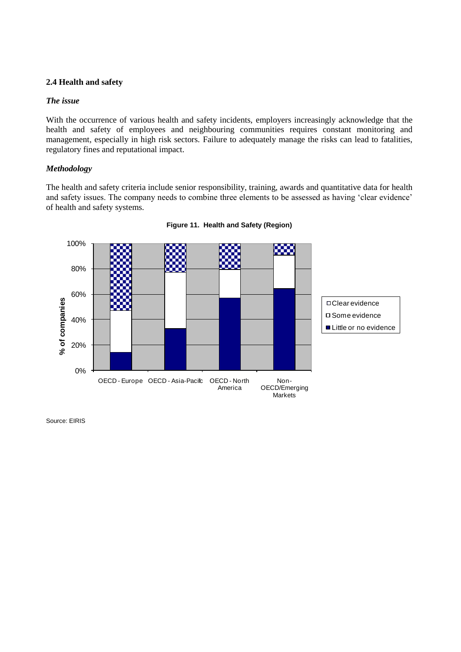# **2.4 Health and safety**

#### *The issue*

With the occurrence of various health and safety incidents, employers increasingly acknowledge that the health and safety of employees and neighbouring communities requires constant monitoring and management, especially in high risk sectors. Failure to adequately manage the risks can lead to fatalities, regulatory fines and reputational impact.

## *Methodology*

The health and safety criteria include senior responsibility, training, awards and quantitative data for health and safety issues. The company needs to combine three elements to be assessed as having "clear evidence" of health and safety systems.



**Figure 11. Health and Safety (Region)**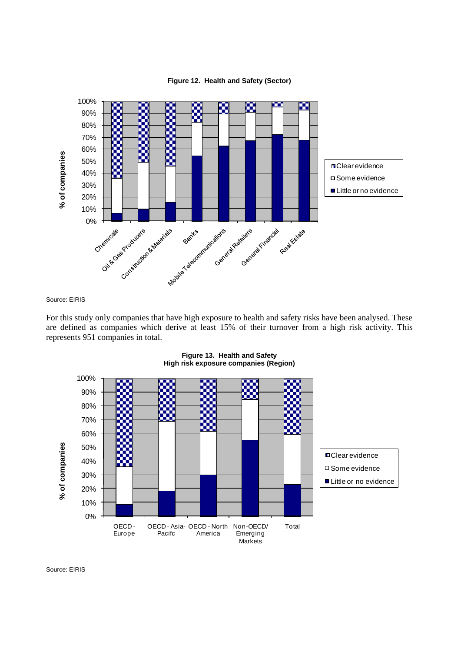

#### **Figure 12. Health and Safety (Sector)**

Source: EIRIS

For this study only companies that have high exposure to health and safety risks have been analysed. These are defined as companies which derive at least 15% of their turnover from a high risk activity. This represents 951 companies in total.



**Figure 13. Health and Safety High risk exposure companies (Region)**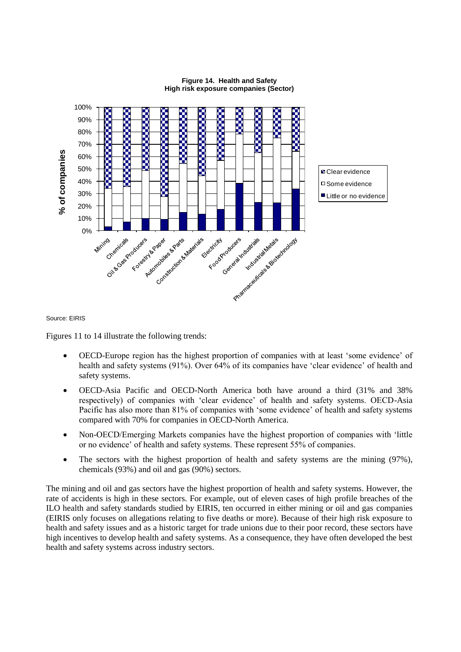

**Figure 14. Health and Safety High risk exposure companies (Sector)**

Source: EIRIS

Figures 11 to 14 illustrate the following trends:

- OECD-Europe region has the highest proportion of companies with at least "some evidence" of health and safety systems (91%). Over 64% of its companies have 'clear evidence' of health and safety systems.
- OECD-Asia Pacific and OECD-North America both have around a third (31% and 38% respectively) of companies with "clear evidence" of health and safety systems. OECD-Asia Pacific has also more than 81% of companies with "some evidence" of health and safety systems compared with 70% for companies in OECD-North America.
- Non-OECD/Emerging Markets companies have the highest proportion of companies with "little or no evidence" of health and safety systems. These represent 55% of companies.
- The sectors with the highest proportion of health and safety systems are the mining (97%), chemicals (93%) and oil and gas (90%) sectors.

The mining and oil and gas sectors have the highest proportion of health and safety systems. However, the rate of accidents is high in these sectors. For example, out of eleven cases of high profile breaches of the ILO health and safety standards studied by EIRIS, ten occurred in either mining or oil and gas companies (EIRIS only focuses on allegations relating to five deaths or more). Because of their high risk exposure to health and safety issues and as a historic target for trade unions due to their poor record, these sectors have high incentives to develop health and safety systems. As a consequence, they have often developed the best health and safety systems across industry sectors.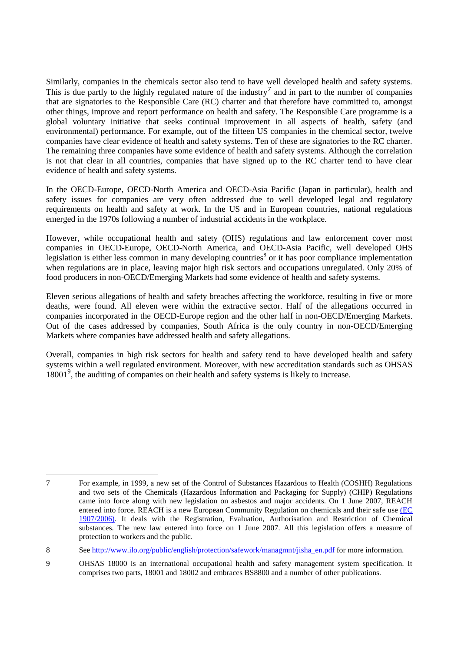Similarly, companies in the chemicals sector also tend to have well developed health and safety systems. This is due partly to the highly regulated nature of the industry<sup>7</sup> and in part to the number of companies that are signatories to the Responsible Care (RC) charter and that therefore have committed to, amongst other things, improve and report performance on health and safety. The Responsible Care programme is a global voluntary initiative that seeks continual improvement in all aspects of health, safety (and environmental) performance. For example, out of the fifteen US companies in the chemical sector, twelve companies have clear evidence of health and safety systems. Ten of these are signatories to the RC charter. The remaining three companies have some evidence of health and safety systems. Although the correlation is not that clear in all countries, companies that have signed up to the RC charter tend to have clear evidence of health and safety systems.

In the OECD-Europe, OECD-North America and OECD-Asia Pacific (Japan in particular), health and safety issues for companies are very often addressed due to well developed legal and regulatory requirements on health and safety at work. In the US and in European countries, national regulations emerged in the 1970s following a number of industrial accidents in the workplace.

However, while occupational health and safety (OHS) regulations and law enforcement cover most companies in OECD-Europe, OECD-North America, and OECD-Asia Pacific, well developed OHS legislation is either less common in many developing countries<sup>8</sup> or it has poor compliance implementation when regulations are in place, leaving major high risk sectors and occupations unregulated. Only 20% of food producers in non-OECD/Emerging Markets had some evidence of health and safety systems.

Eleven serious allegations of health and safety breaches affecting the workforce, resulting in five or more deaths, were found. All eleven were within the extractive sector. Half of the allegations occurred in companies incorporated in the OECD-Europe region and the other half in non-OECD/Emerging Markets. Out of the cases addressed by companies, South Africa is the only country in non-OECD/Emerging Markets where companies have addressed health and safety allegations.

Overall, companies in high risk sectors for health and safety tend to have developed health and safety systems within a well regulated environment. Moreover, with new accreditation standards such as OHSAS 18001<sup>9</sup>, the auditing of companies on their health and safety systems is likely to increase.

l 7 For example, in 1999, a new set of the Control of Substances Hazardous to Health (COSHH) Regulations and two sets of the Chemicals (Hazardous Information and Packaging for Supply) (CHIP) Regulations came into force along with new legislation on asbestos and major accidents. On 1 June 2007, REACH entered into force. REACH is a new European Community Regulation on chemicals and their safe use (EC [1907/2006\).](http://eur-lex.europa.eu/LexUriServ/LexUriServ.do?uri=CELEX:32006R1907:EN:NOT) It deals with the Registration, Evaluation, Authorisation and Restriction of Chemical substances. The new law entered into force on 1 June 2007. All this legislation offers a measure of protection to workers and the public.

<sup>8</sup> See [http://www.ilo.org/public/english/protection/safework/managmnt/jisha\\_en.pdf](http://www.ilo.org/public/english/protection/safework/managmnt/jisha_en.pdf) for more information.

<sup>9</sup> OHSAS 18000 is an international occupational health and safety management system specification. It comprises two parts, 18001 and 18002 and embraces BS8800 and a number of other publications.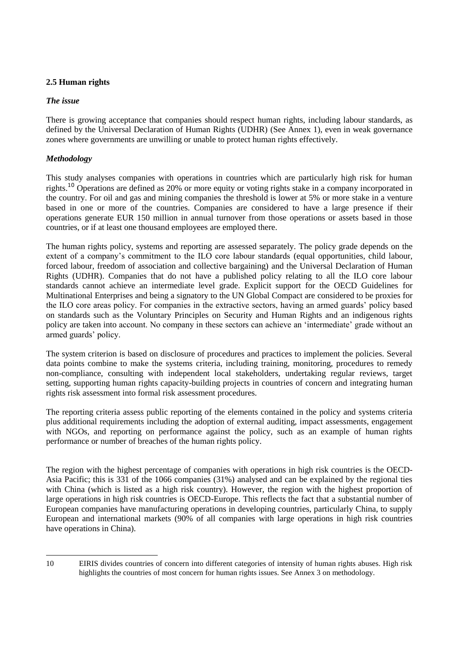# **2.5 Human rights**

## *The issue*

There is growing acceptance that companies should respect human rights, including labour standards, as defined by the Universal Declaration of Human Rights (UDHR) (See Annex 1), even in weak governance zones where governments are unwilling or unable to protect human rights effectively.

# *Methodology*

l

This study analyses companies with operations in countries which are particularly high risk for human rights.<sup>10</sup> Operations are defined as 20% or more equity or voting rights stake in a company incorporated in the country. For oil and gas and mining companies the threshold is lower at 5% or more stake in a venture based in one or more of the countries. Companies are considered to have a large presence if their operations generate EUR 150 million in annual turnover from those operations or assets based in those countries, or if at least one thousand employees are employed there.

The human rights policy, systems and reporting are assessed separately. The policy grade depends on the extent of a company"s commitment to the ILO core labour standards (equal opportunities, child labour, forced labour, freedom of association and collective bargaining) and the Universal Declaration of Human Rights (UDHR). Companies that do not have a published policy relating to all the ILO core labour standards cannot achieve an intermediate level grade. Explicit support for the OECD Guidelines for Multinational Enterprises and being a signatory to the UN Global Compact are considered to be proxies for the ILO core areas policy. For companies in the extractive sectors, having an armed guards" policy based on standards such as the Voluntary Principles on Security and Human Rights and an indigenous rights policy are taken into account. No company in these sectors can achieve an "intermediate" grade without an armed guards" policy.

The system criterion is based on disclosure of procedures and practices to implement the policies. Several data points combine to make the systems criteria, including training, monitoring, procedures to remedy non-compliance, consulting with independent local stakeholders, undertaking regular reviews, target setting, supporting human rights capacity-building projects in countries of concern and integrating human rights risk assessment into formal risk assessment procedures.

The reporting criteria assess public reporting of the elements contained in the policy and systems criteria plus additional requirements including the adoption of external auditing, impact assessments, engagement with NGOs, and reporting on performance against the policy, such as an example of human rights performance or number of breaches of the human rights policy.

The region with the highest percentage of companies with operations in high risk countries is the OECD-Asia Pacific; this is 331 of the 1066 companies (31%) analysed and can be explained by the regional ties with China (which is listed as a high risk country). However, the region with the highest proportion of large operations in high risk countries is OECD-Europe. This reflects the fact that a substantial number of European companies have manufacturing operations in developing countries, particularly China, to supply European and international markets (90% of all companies with large operations in high risk countries have operations in China).

<sup>10</sup> EIRIS divides countries of concern into different categories of intensity of human rights abuses. High risk highlights the countries of most concern for human rights issues. See Annex 3 on methodology.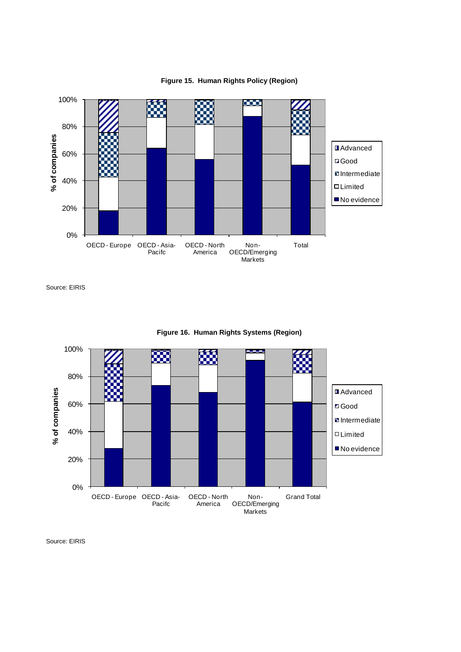

#### **Figure 15. Human Rights Policy (Region)**

Source: EIRIS



#### **Figure 16. Human Rights Systems (Region)**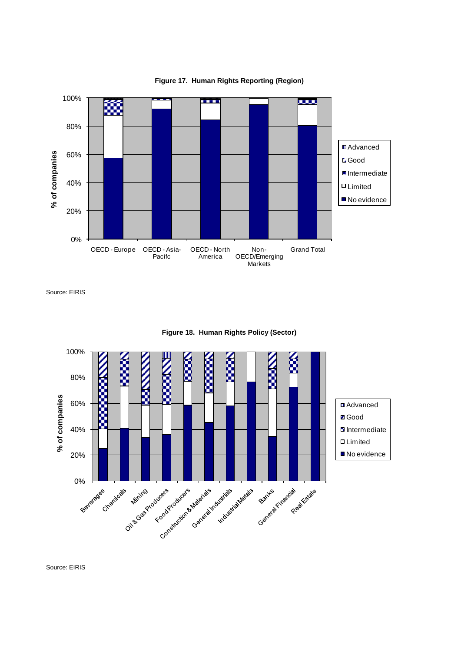

**Figure 17. Human Rights Reporting (Region)**

Source: EIRIS



#### **Figure 18. Human Rights Policy (Sector)**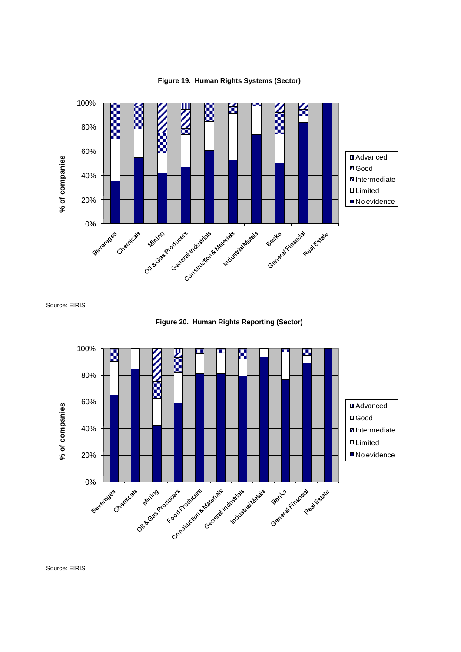

#### **Figure 19. Human Rights Systems (Sector)**

Source: EIRIS

**Figure 20. Human Rights Reporting (Sector)**

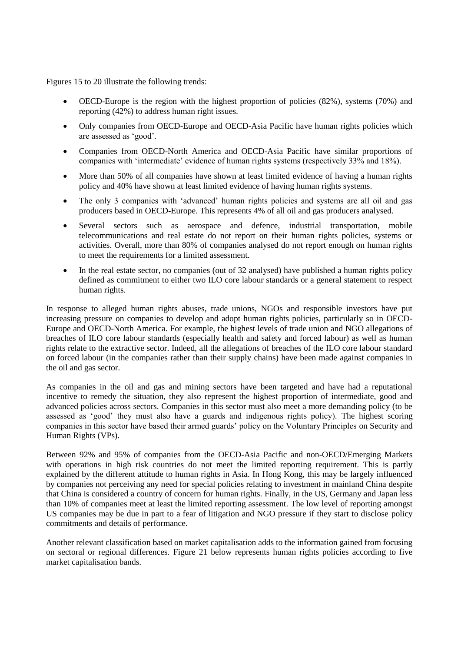Figures 15 to 20 illustrate the following trends:

- OECD-Europe is the region with the highest proportion of policies (82%), systems (70%) and reporting (42%) to address human right issues.
- Only companies from OECD-Europe and OECD-Asia Pacific have human rights policies which are assessed as "good".
- Companies from OECD-North America and OECD-Asia Pacific have similar proportions of companies with "intermediate" evidence of human rights systems (respectively 33% and 18%).
- More than 50% of all companies have shown at least limited evidence of having a human rights policy and 40% have shown at least limited evidence of having human rights systems.
- The only 3 companies with 'advanced' human rights policies and systems are all oil and gas producers based in OECD-Europe. This represents 4% of all oil and gas producers analysed.
- Several sectors such as aerospace and defence, industrial transportation, mobile telecommunications and real estate do not report on their human rights policies, systems or activities. Overall, more than 80% of companies analysed do not report enough on human rights to meet the requirements for a limited assessment.
- In the real estate sector, no companies (out of 32 analysed) have published a human rights policy defined as commitment to either two ILO core labour standards or a general statement to respect human rights.

In response to alleged human rights abuses, trade unions, NGOs and responsible investors have put increasing pressure on companies to develop and adopt human rights policies, particularly so in OECD-Europe and OECD-North America. For example, the highest levels of trade union and NGO allegations of breaches of ILO core labour standards (especially health and safety and forced labour) as well as human rights relate to the extractive sector. Indeed, all the allegations of breaches of the ILO core labour standard on forced labour (in the companies rather than their supply chains) have been made against companies in the oil and gas sector.

As companies in the oil and gas and mining sectors have been targeted and have had a reputational incentive to remedy the situation, they also represent the highest proportion of intermediate, good and advanced policies across sectors. Companies in this sector must also meet a more demanding policy (to be assessed as "good" they must also have a guards and indigenous rights policy). The highest scoring companies in this sector have based their armed guards" policy on the Voluntary Principles on Security and Human Rights (VPs).

Between 92% and 95% of companies from the OECD-Asia Pacific and non-OECD/Emerging Markets with operations in high risk countries do not meet the limited reporting requirement. This is partly explained by the different attitude to human rights in Asia. In Hong Kong, this may be largely influenced by companies not perceiving any need for special policies relating to investment in mainland China despite that China is considered a country of concern for human rights. Finally, in the US, Germany and Japan less than 10% of companies meet at least the limited reporting assessment. The low level of reporting amongst US companies may be due in part to a fear of litigation and NGO pressure if they start to disclose policy commitments and details of performance.

Another relevant classification based on market capitalisation adds to the information gained from focusing on sectoral or regional differences. Figure 21 below represents human rights policies according to five market capitalisation bands.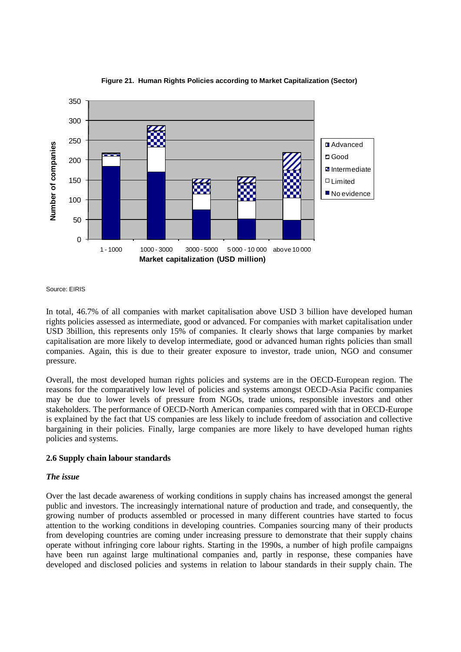



Source: EIRIS

In total, 46.7% of all companies with market capitalisation above USD 3 billion have developed human rights policies assessed as intermediate, good or advanced. For companies with market capitalisation under USD 3billion, this represents only 15% of companies. It clearly shows that large companies by market capitalisation are more likely to develop intermediate, good or advanced human rights policies than small companies. Again, this is due to their greater exposure to investor, trade union, NGO and consumer pressure.

Overall, the most developed human rights policies and systems are in the OECD-European region. The reasons for the comparatively low level of policies and systems amongst OECD-Asia Pacific companies may be due to lower levels of pressure from NGOs, trade unions, responsible investors and other stakeholders. The performance of OECD-North American companies compared with that in OECD-Europe is explained by the fact that US companies are less likely to include freedom of association and collective bargaining in their policies. Finally, large companies are more likely to have developed human rights policies and systems.

## **2.6 Supply chain labour standards**

#### *The issue*

Over the last decade awareness of working conditions in supply chains has increased amongst the general public and investors. The increasingly international nature of production and trade, and consequently, the growing number of products assembled or processed in many different countries have started to focus attention to the working conditions in developing countries. Companies sourcing many of their products from developing countries are coming under increasing pressure to demonstrate that their supply chains operate without infringing core labour rights. Starting in the 1990s, a number of high profile campaigns have been run against large multinational companies and, partly in response, these companies have developed and disclosed policies and systems in relation to labour standards in their supply chain. The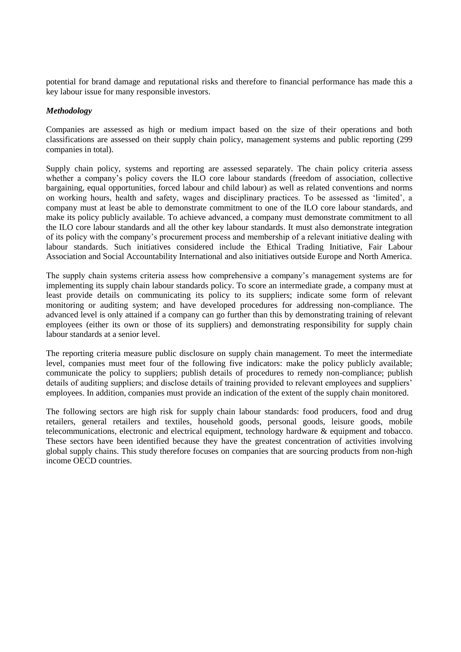potential for brand damage and reputational risks and therefore to financial performance has made this a key labour issue for many responsible investors.

#### *Methodology*

Companies are assessed as high or medium impact based on the size of their operations and both classifications are assessed on their supply chain policy, management systems and public reporting (299 companies in total).

Supply chain policy, systems and reporting are assessed separately. The chain policy criteria assess whether a company's policy covers the ILO core labour standards (freedom of association, collective bargaining, equal opportunities, forced labour and child labour) as well as related conventions and norms on working hours, health and safety, wages and disciplinary practices. To be assessed as "limited", a company must at least be able to demonstrate commitment to one of the ILO core labour standards, and make its policy publicly available. To achieve advanced, a company must demonstrate commitment to all the ILO core labour standards and all the other key labour standards. It must also demonstrate integration of its policy with the company"s procurement process and membership of a relevant initiative dealing with labour standards. Such initiatives considered include the Ethical Trading Initiative, Fair Labour Association and Social Accountability International and also initiatives outside Europe and North America.

The supply chain systems criteria assess how comprehensive a company"s management systems are for implementing its supply chain labour standards policy. To score an intermediate grade, a company must at least provide details on communicating its policy to its suppliers; indicate some form of relevant monitoring or auditing system; and have developed procedures for addressing non-compliance. The advanced level is only attained if a company can go further than this by demonstrating training of relevant employees (either its own or those of its suppliers) and demonstrating responsibility for supply chain labour standards at a senior level.

The reporting criteria measure public disclosure on supply chain management. To meet the intermediate level, companies must meet four of the following five indicators: make the policy publicly available; communicate the policy to suppliers; publish details of procedures to remedy non-compliance; publish details of auditing suppliers; and disclose details of training provided to relevant employees and suppliers' employees. In addition, companies must provide an indication of the extent of the supply chain monitored.

The following sectors are high risk for supply chain labour standards: food producers, food and drug retailers, general retailers and textiles, household goods, personal goods, leisure goods, mobile telecommunications, electronic and electrical equipment, technology hardware & equipment and tobacco. These sectors have been identified because they have the greatest concentration of activities involving global supply chains. This study therefore focuses on companies that are sourcing products from non-high income OECD countries.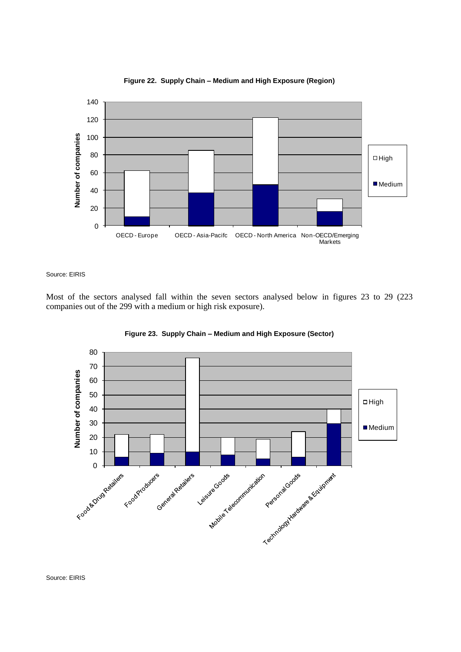



Source: EIRIS

Most of the sectors analysed fall within the seven sectors analysed below in figures 23 to 29 (223 companies out of the 299 with a medium or high risk exposure).



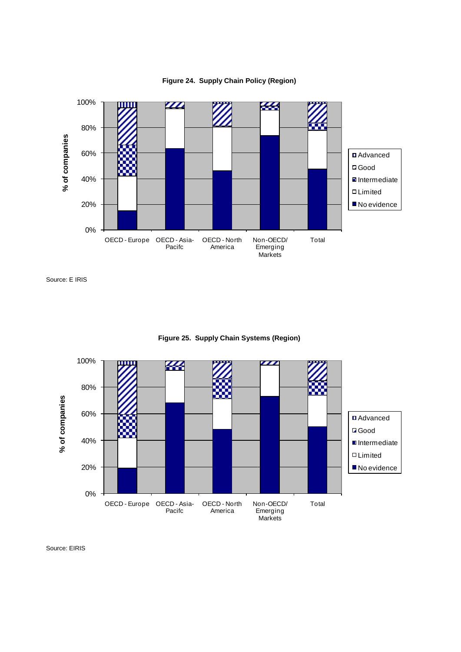

#### **Figure 24. Supply Chain Policy (Region)**

Source: E IRIS



#### **Figure 25. Supply Chain Systems (Region)**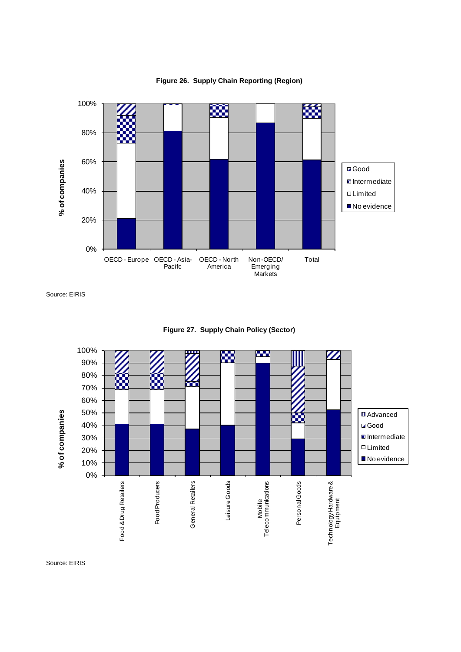

#### **Figure 26. Supply Chain Reporting (Region)**

Source: EIRIS



**Figure 27. Supply Chain Policy (Sector)**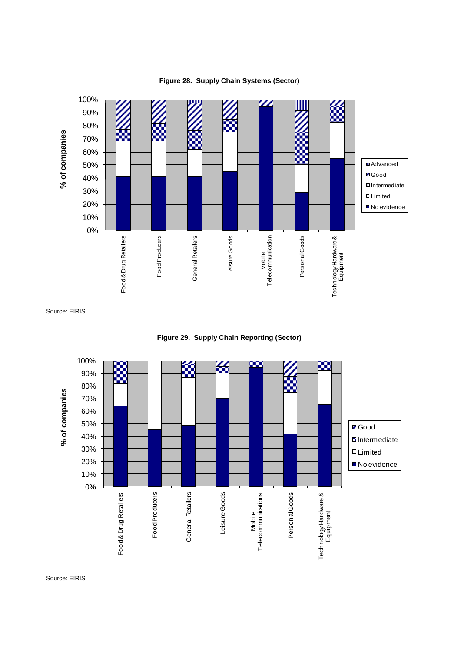

#### **Figure 28. Supply Chain Systems (Sector)**

Source: EIRIS



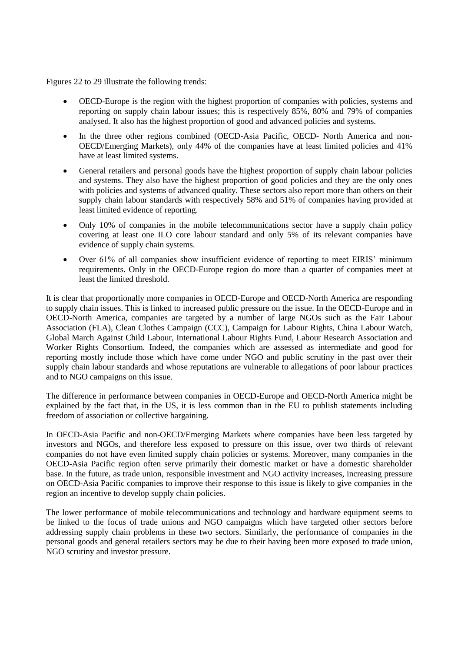Figures 22 to 29 illustrate the following trends:

- OECD-Europe is the region with the highest proportion of companies with policies, systems and reporting on supply chain labour issues; this is respectively 85%, 80% and 79% of companies analysed. It also has the highest proportion of good and advanced policies and systems.
- In the three other regions combined (OECD-Asia Pacific, OECD- North America and non-OECD/Emerging Markets), only 44% of the companies have at least limited policies and 41% have at least limited systems.
- General retailers and personal goods have the highest proportion of supply chain labour policies and systems. They also have the highest proportion of good policies and they are the only ones with policies and systems of advanced quality. These sectors also report more than others on their supply chain labour standards with respectively 58% and 51% of companies having provided at least limited evidence of reporting.
- Only 10% of companies in the mobile telecommunications sector have a supply chain policy covering at least one ILO core labour standard and only 5% of its relevant companies have evidence of supply chain systems.
- Over 61% of all companies show insufficient evidence of reporting to meet EIRIS" minimum requirements. Only in the OECD-Europe region do more than a quarter of companies meet at least the limited threshold.

It is clear that proportionally more companies in OECD-Europe and OECD-North America are responding to supply chain issues. This is linked to increased public pressure on the issue. In the OECD-Europe and in OECD-North America, companies are targeted by a number of large NGOs such as the Fair Labour Association (FLA), Clean Clothes Campaign (CCC), Campaign for Labour Rights, China Labour Watch, Global March Against Child Labour, International Labour Rights Fund, Labour Research Association and Worker Rights Consortium. Indeed, the companies which are assessed as intermediate and good for reporting mostly include those which have come under NGO and public scrutiny in the past over their supply chain labour standards and whose reputations are vulnerable to allegations of poor labour practices and to NGO campaigns on this issue.

The difference in performance between companies in OECD-Europe and OECD-North America might be explained by the fact that, in the US, it is less common than in the EU to publish statements including freedom of association or collective bargaining.

In OECD-Asia Pacific and non-OECD/Emerging Markets where companies have been less targeted by investors and NGOs, and therefore less exposed to pressure on this issue, over two thirds of relevant companies do not have even limited supply chain policies or systems. Moreover, many companies in the OECD-Asia Pacific region often serve primarily their domestic market or have a domestic shareholder base. In the future, as trade union, responsible investment and NGO activity increases, increasing pressure on OECD-Asia Pacific companies to improve their response to this issue is likely to give companies in the region an incentive to develop supply chain policies.

The lower performance of mobile telecommunications and technology and hardware equipment seems to be linked to the focus of trade unions and NGO campaigns which have targeted other sectors before addressing supply chain problems in these two sectors. Similarly, the performance of companies in the personal goods and general retailers sectors may be due to their having been more exposed to trade union, NGO scrutiny and investor pressure.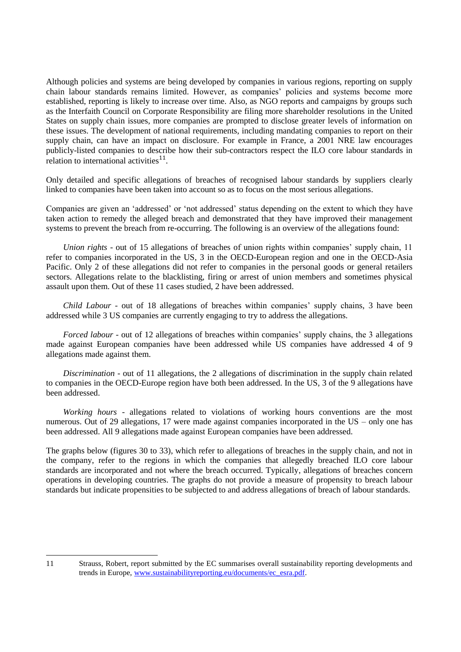Although policies and systems are being developed by companies in various regions, reporting on supply chain labour standards remains limited. However, as companies' policies and systems become more established, reporting is likely to increase over time. Also, as NGO reports and campaigns by groups such as the Interfaith Council on Corporate Responsibility are filing more shareholder resolutions in the United States on supply chain issues, more companies are prompted to disclose greater levels of information on these issues. The development of national requirements, including mandating companies to report on their supply chain, can have an impact on disclosure. For example in France, a 2001 NRE law encourages publicly-listed companies to describe how their sub-contractors respect the ILO core labour standards in relation to international activities $11$ .

Only detailed and specific allegations of breaches of recognised labour standards by suppliers clearly linked to companies have been taken into account so as to focus on the most serious allegations.

Companies are given an "addressed" or "not addressed" status depending on the extent to which they have taken action to remedy the alleged breach and demonstrated that they have improved their management systems to prevent the breach from re-occurring. The following is an overview of the allegations found:

*Union rights* - out of 15 allegations of breaches of union rights within companies' supply chain, 11 refer to companies incorporated in the US, 3 in the OECD-European region and one in the OECD-Asia Pacific. Only 2 of these allegations did not refer to companies in the personal goods or general retailers sectors. Allegations relate to the blacklisting, firing or arrest of union members and sometimes physical assault upon them. Out of these 11 cases studied, 2 have been addressed.

*Child Labour* - out of 18 allegations of breaches within companies' supply chains, 3 have been addressed while 3 US companies are currently engaging to try to address the allegations.

*Forced labour* - out of 12 allegations of breaches within companies' supply chains, the 3 allegations made against European companies have been addressed while US companies have addressed 4 of 9 allegations made against them.

*Discrimination* - out of 11 allegations, the 2 allegations of discrimination in the supply chain related to companies in the OECD-Europe region have both been addressed. In the US, 3 of the 9 allegations have been addressed.

*Working hours* - allegations related to violations of working hours conventions are the most numerous. Out of 29 allegations, 17 were made against companies incorporated in the US – only one has been addressed. All 9 allegations made against European companies have been addressed.

The graphs below (figures 30 to 33), which refer to allegations of breaches in the supply chain, and not in the company, refer to the regions in which the companies that allegedly breached ILO core labour standards are incorporated and not where the breach occurred. Typically, allegations of breaches concern operations in developing countries. The graphs do not provide a measure of propensity to breach labour standards but indicate propensities to be subjected to and address allegations of breach of labour standards.

l

<sup>11</sup> Strauss, Robert, report submitted by the EC summarises overall sustainability reporting developments and trends in Europe, [www.sustainabilityreporting.eu/documents/ec\\_esra.pdf.](http://www.sustainabilityreporting.eu/documents/ec_esra.pdf)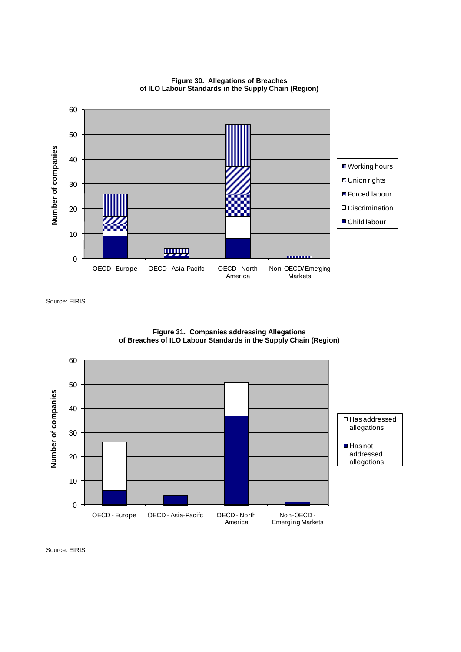

**Figure 30. Allegations of Breaches of ILO Labour Standards in the Supply Chain (Region)**

Source: EIRIS

**of Breaches of ILO Labour Standards in the Supply Chain (Region)** 60 50 Number of companies **Number of companies** 40 Has addressed allegations 30 ■ Has not addressed 20 allegations 10 0 OECD - Europe OECD - Asia-Pacifc OECD - North Non-OECD - America Emerging Markets

**Figure 31. Companies addressing Allegations**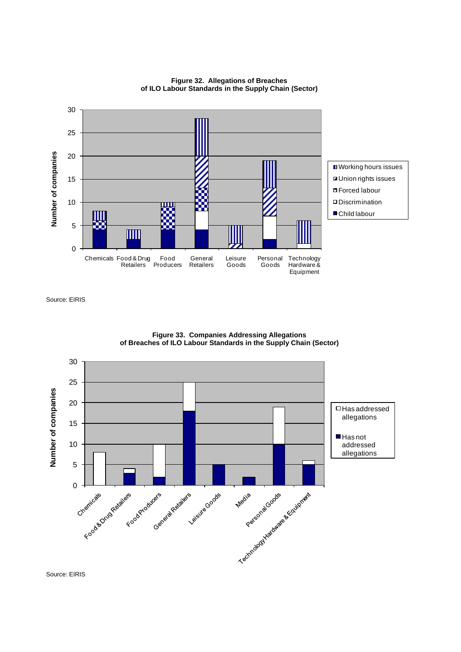

**Figure 32. Allegations of Breaches of ILO Labour Standards in the Supply Chain (Sector)**

Source: EIRIS



**Figure 33. Companies Addressing Allegations of Breaches of ILO Labour Standards in the Supply Chain (Sector)**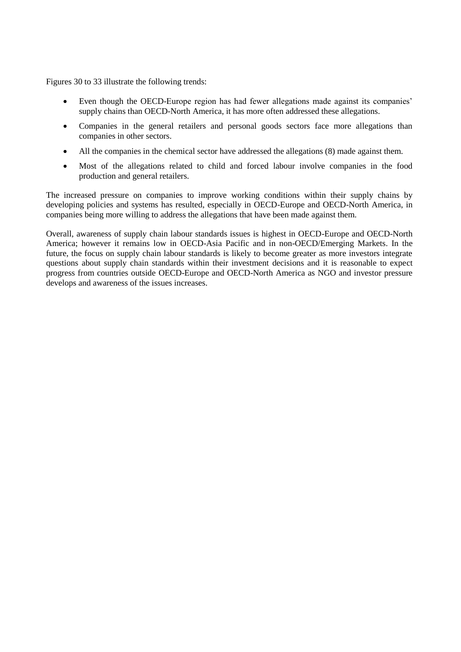Figures 30 to 33 illustrate the following trends:

- Even though the OECD-Europe region has had fewer allegations made against its companies" supply chains than OECD-North America, it has more often addressed these allegations.
- Companies in the general retailers and personal goods sectors face more allegations than companies in other sectors.
- All the companies in the chemical sector have addressed the allegations (8) made against them.
- Most of the allegations related to child and forced labour involve companies in the food production and general retailers.

The increased pressure on companies to improve working conditions within their supply chains by developing policies and systems has resulted, especially in OECD-Europe and OECD-North America, in companies being more willing to address the allegations that have been made against them.

Overall, awareness of supply chain labour standards issues is highest in OECD-Europe and OECD-North America; however it remains low in OECD-Asia Pacific and in non-OECD/Emerging Markets. In the future, the focus on supply chain labour standards is likely to become greater as more investors integrate questions about supply chain standards within their investment decisions and it is reasonable to expect progress from countries outside OECD-Europe and OECD-North America as NGO and investor pressure develops and awareness of the issues increases.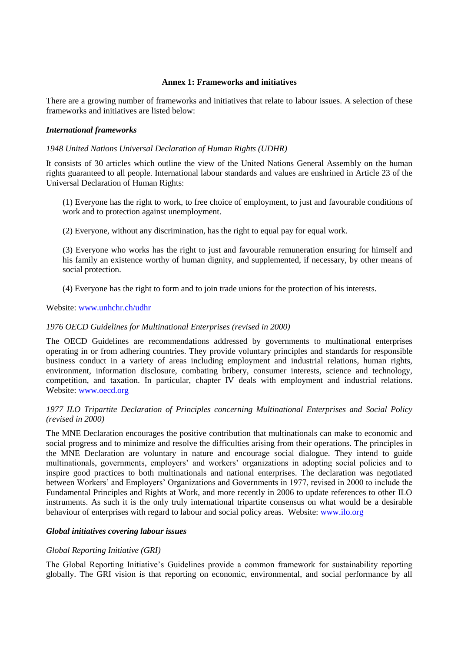# **Annex 1: Frameworks and initiatives**

There are a growing number of frameworks and initiatives that relate to labour issues. A selection of these frameworks and initiatives are listed below:

#### *International frameworks*

#### *1948 United Nations Universal Declaration of Human Rights (UDHR)*

It consists of 30 articles which outline the view of the United Nations General Assembly on the human rights guaranteed to all people. International labour standards and values are enshrined in Article 23 of the Universal Declaration of Human Rights:

(1) Everyone has the right to work, to free choice of employment, to just and favourable conditions of work and to protection against unemployment.

(2) Everyone, without any discrimination, has the right to equal pay for equal work.

(3) Everyone who works has the right to just and favourable remuneration ensuring for himself and his family an existence worthy of human dignity, and supplemented, if necessary, by other means of social protection.

(4) Everyone has the right to form and to join trade unions for the protection of his interests.

#### Website: [www.unhchr.ch/udhr](http://www.unhchr.ch/udhr)

#### *1976 OECD Guidelines for Multinational Enterprises (revised in 2000)*

The OECD Guidelines are recommendations addressed by governments to multinational enterprises operating in or from adhering countries. They provide voluntary principles and standards for responsible business conduct in a variety of areas including employment and industrial relations, human rights, environment, information disclosure, combating bribery, consumer interests, science and technology, competition, and taxation. In particular, chapter IV deals with employment and industrial relations. Website: [www.oecd.org](http://www.oecd.org/)

## *1977 ILO Tripartite Declaration of Principles concerning Multinational Enterprises and Social Policy (revised in 2000)*

The MNE Declaration encourages the positive contribution that multinationals can make to economic and social progress and to minimize and resolve the difficulties arising from their operations. The principles in the MNE Declaration are voluntary in nature and encourage social dialogue. They intend to guide multinationals, governments, employers" and workers" organizations in adopting social policies and to inspire good practices to both multinationals and national enterprises. The declaration was negotiated between Workers" and Employers" Organizations and Governments in 1977, revised in 2000 to include the Fundamental Principles and Rights at Work, and more recently in 2006 to update references to other ILO instruments. As such it is the only truly international tripartite consensus on what would be a desirable behaviour of enterprises with regard to labour and social policy areas. Website: [www.ilo.org](http://www.ilo.org/)

## *Global initiatives covering labour issues*

## *Global Reporting Initiative (GRI)*

The Global Reporting Initiative"s Guidelines provide a common framework for sustainability reporting globally. The GRI vision is that reporting on economic, environmental, and social performance by all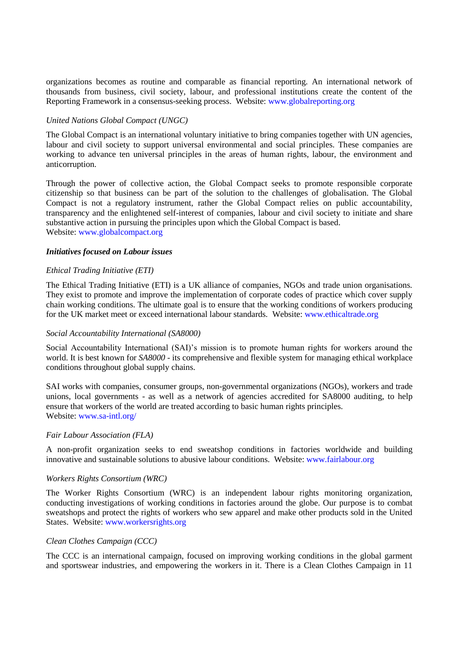organizations becomes as routine and comparable as financial reporting. An international network of thousands from business, civil society, labour, and professional institutions create the content of the Reporting Framework in a consensus-seeking process. Website: [www.globalreporting.org](http://www.globalreporting.org/)

## *United Nations Global Compact (UNGC)*

The Global Compact is an international voluntary initiative to bring companies together with UN agencies, labour and civil society to support universal environmental and social principles. These companies are working to advance ten universal principles in the areas of human rights, labour, the environment and anticorruption.

Through the power of collective action, the Global Compact seeks to promote responsible corporate citizenship so that business can be part of the solution to the challenges of globalisation. The Global Compact is not a regulatory instrument, rather the Global Compact relies on public accountability, transparency and the enlightened self-interest of companies, labour and civil society to initiate and share substantive action in pursuing the principles upon which the Global Compact is based. Website: [www.globalcompact.org](http://www.globalcompact.org/)

#### *Initiatives focused on Labour issues*

#### *Ethical Trading Initiative (ETI)*

The Ethical Trading Initiative (ETI) is a UK alliance of companies, NGOs and trade union organisations. They exist to promote and improve the implementation of corporate codes of practice which cover supply chain working conditions. The ultimate goal is to ensure that the working conditions of workers producing for the UK market meet or exceed international labour standards. Website: [www.ethicaltrade.org](http://www.ethicaltrade.org/)

## *Social Accountability International (SA8000)*

Social Accountability International (SAI)"s mission is to promote human rights for workers around the world. It is best known for *[SA8000](http://www.sa-intl.org/index.cfm?fuseaction=Page.viewPage&pageID=473)* - its comprehensive and flexible system for managing ethical workplace conditions throughout global supply chains.

SAI works with [companies,](http://www.sa-intl.org/index.cfm?fuseaction=Page.viewPage&pageID=526&parentID=475) [consumer groups,](http://www.sa-intl.org/index.cfm?fuseaction=Page.viewPage&pageID=531&parentID=475) [non-governmental organizations \(NGOs\),](http://www.sa-intl.org/index.cfm?fuseaction=Page.viewPage&pageID=530&parentID=475) [workers and trade](http://www.sa-intl.org/index.cfm?fuseaction=Page.viewPage&pageID=529&parentID=475%22)  [unions,](http://www.sa-intl.org/index.cfm?fuseaction=Page.viewPage&pageID=529&parentID=475%22) [local governments](http://www.sa-intl.org/index.cfm?fuseaction=Page.viewPage&pageID=532&parentID=475) - as well as a network of agencies accredited for SA8000 auditing, to help ensure that workers of the world are treated according to basic human rights principles. Website: [www.sa-intl.org/](http://www.sa-intl.org/)

#### *Fair Labour Association (FLA)*

A non-profit organization seeks to end sweatshop conditions in factories worldwide and building [innovative and sustainable solutions](http://www.fairlabor.org/about/fla_30_-_toward_sustainable_compliance) to abusive labour conditions. Website: [www.fairlabour.org](http://www.fair.labour.org/)

## *Workers Rights Consortium (WRC)*

The Worker Rights Consortium (WRC) is an independent labour rights monitoring organization, conducting investigations of working conditions in factories around the globe. Our purpose is to combat sweatshops and protect the rights of workers who sew apparel and make other products sold in the United States. Website: [www.workersrights.org](http://www.fair.labour.org/)

## *Clean Clothes Campaign (CCC)*

The CCC is an international campaign, focused on improving working conditions in the global garment and sportswear industries, and empowering the workers in it. There is a Clean Clothes Campaign in 11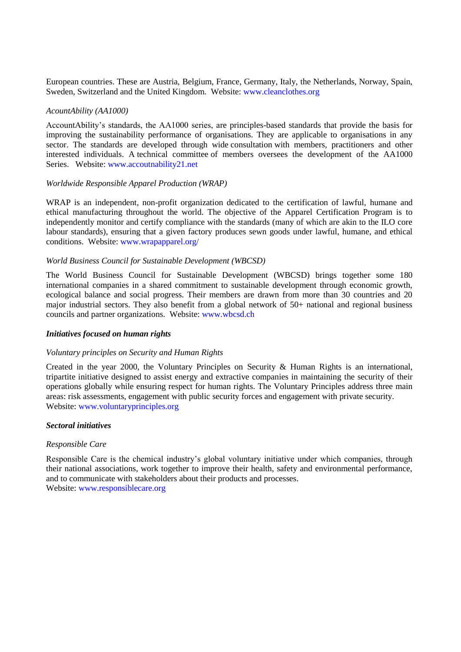European countries. These are Austria, Belgium, France, Germany, Italy, the Netherlands, Norway, Spain, Sweden, Switzerland and the United Kingdom. Website: [www.cleanclothes.org](http://www.fair.labour.org/)

#### *AcountAbility (AA1000)*

AccountAbility"s standards, the AA1000 series, are principles-based standards that provide the basis for improving the sustainability performance of organisations. They are applicable to organisations in any sector. The standards are developed through wide [consultation](http://www.accountability21.net/default.aspx?id=626) with members, practitioners and other interested individuals. A [technical committee](http://www.accountability21.net/default2.aspx?id=628) of members oversees the development of the AA1000 Series. Website: [www.accoutnability21.net](http://www.accoutnability21.net/)

#### *Worldwide Responsible Apparel Production (WRAP)*

WRAP is an independent, non-profit organization dedicated to the certification of lawful, humane and ethical manufacturing throughout the world. The objective of the Apparel Certification Program is to independently monitor and certify compliance with the standards (many of which are akin to the ILO core labour standards), ensuring that a given factory produces sewn goods under lawful, humane, and ethical conditions. Website: [www.wrapapparel.org/](http://www.wrapapparel.org/)

#### *World Business Council for Sustainable Development (WBCSD)*

The World Business Council for Sustainable Development (WBCSD) brings together some 180 international companies in a shared commitment to sustainable development through economic growth, ecological balance and social progress. Their members are drawn from more than 30 countries and 20 major industrial sectors. They also benefit from a global network of 50+ national and regional business councils and partner organizations. Website: [www.wbcsd.ch](http://www.wbcsd.ch/)

#### *Initiatives focused on human rights*

#### *Voluntary principles on Security and Human Rights*

Created in the year 2000, the Voluntary Principles on Security & Human Rights is an international, tripartite initiative designed to assist energy and extractive companies in maintaining the security of their operations globally while ensuring respect for human rights. The Voluntary Principles address three main areas: risk assessments, engagement with public security forces and engagement with private security. Website: [www.voluntaryprinciples.org](http://www.wbcsd.ch/)

#### *Sectoral initiatives*

#### *Responsible Care*

Responsible Care is the chemical industry"s global voluntary initiative under which companies, through their national associations, work together to improve their health, safety and environmental performance, and to communicate with stakeholders about their products and processes. Website: [www.responsiblecare.org](http://www.responsiblecare.org/)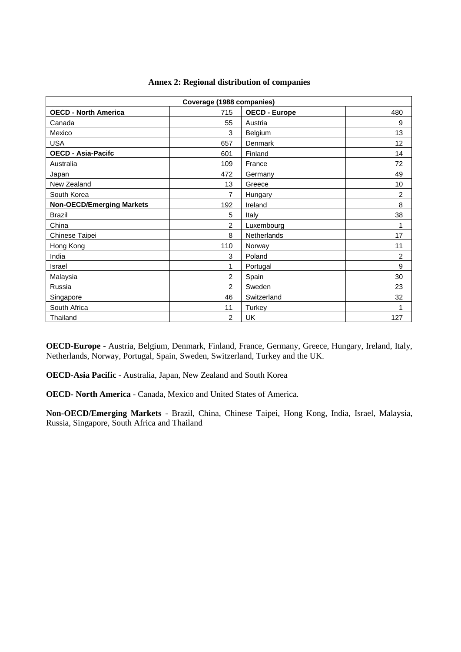| Coverage (1988 companies)        |                |                      |                |
|----------------------------------|----------------|----------------------|----------------|
| <b>OECD - North America</b>      | 715            | <b>OECD - Europe</b> | 480            |
| Canada                           | 55             | Austria              | 9              |
| Mexico                           | 3              | Belgium              | 13             |
| <b>USA</b>                       | 657            | Denmark              | 12             |
| <b>OECD - Asia-Pacifc</b>        | 601            | Finland              | 14             |
| Australia                        | 109            | France               | 72             |
| Japan                            | 472            | Germany              | 49             |
| New Zealand                      | 13             | Greece               | 10             |
| South Korea                      | 7              | Hungary              | $\overline{2}$ |
| <b>Non-OECD/Emerging Markets</b> | 192            | Ireland              | 8              |
| <b>Brazil</b>                    | 5              | Italy                | 38             |
| China                            | $\overline{2}$ | Luxembourg           | 1              |
| Chinese Taipei                   | 8              | <b>Netherlands</b>   | 17             |
| Hong Kong                        | 110            | Norway               | 11             |
| India                            | 3              | Poland               | $\overline{c}$ |
| Israel                           | 1              | Portugal             | 9              |
| Malaysia                         | $\overline{2}$ | Spain                | 30             |
| Russia                           | 2              | Sweden               | 23             |
| Singapore                        | 46             | Switzerland          | 32             |
| South Africa                     | 11             | Turkey               | 1              |
| Thailand                         | $\overline{2}$ | <b>UK</b>            | 127            |

# **Annex 2: Regional distribution of companies**

**OECD-Europe** - Austria, Belgium, Denmark, Finland, France, Germany, Greece, Hungary, Ireland, Italy, Netherlands, Norway, Portugal, Spain, Sweden, Switzerland, Turkey and the UK.

**OECD-Asia Pacific** - Australia, Japan, New Zealand and South Korea

**OECD- North America** - Canada, Mexico and United States of America.

**Non-OECD/Emerging Markets** - Brazil, China, Chinese Taipei, Hong Kong, India, Israel, Malaysia, Russia, Singapore, South Africa and Thailand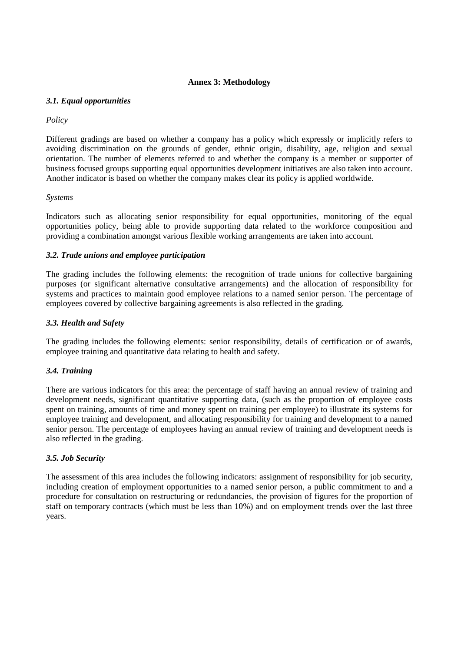## **Annex 3: Methodology**

## *3.1. Equal opportunities*

# *Policy*

Different gradings are based on whether a company has a policy which expressly or implicitly refers to avoiding discrimination on the grounds of gender, ethnic origin, disability, age, religion and sexual orientation. The number of elements referred to and whether the company is a member or supporter of business focused groups supporting equal opportunities development initiatives are also taken into account. Another indicator is based on whether the company makes clear its policy is applied worldwide.

# *Systems*

Indicators such as allocating senior responsibility for equal opportunities, monitoring of the equal opportunities policy, being able to provide supporting data related to the workforce composition and providing a combination amongst various flexible working arrangements are taken into account.

# *3.2. Trade unions and employee participation*

The grading includes the following elements: the recognition of trade unions for collective bargaining purposes (or significant alternative consultative arrangements) and the allocation of responsibility for systems and practices to maintain good employee relations to a named senior person. The percentage of employees covered by collective bargaining agreements is also reflected in the grading.

# *3.3. Health and Safety*

The grading includes the following elements: senior responsibility, details of certification or of awards, employee training and quantitative data relating to health and safety.

# *3.4. Training*

There are various indicators for this area: the percentage of staff having an annual review of training and development needs, significant quantitative supporting data, (such as the proportion of employee costs spent on training, amounts of time and money spent on training per employee) to illustrate its systems for employee training and development, and allocating responsibility for training and development to a named senior person. The percentage of employees having an annual review of training and development needs is also reflected in the grading.

## *3.5. Job Security*

The assessment of this area includes the following indicators: assignment of responsibility for job security, including creation of employment opportunities to a named senior person, a public commitment to and a procedure for consultation on restructuring or redundancies, the provision of figures for the proportion of staff on temporary contracts (which must be less than 10%) and on employment trends over the last three years.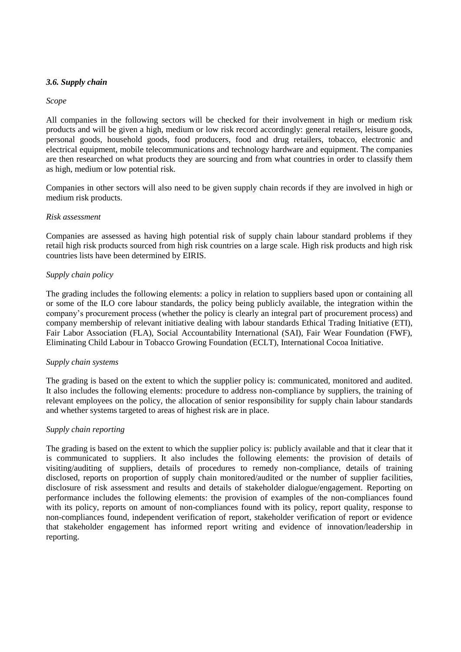# *3.6. Supply chain*

#### *Scope*

All companies in the following sectors will be checked for their involvement in high or medium risk products and will be given a high, medium or low risk record accordingly: general retailers, leisure goods, personal goods, household goods, food producers, food and drug retailers, tobacco, electronic and electrical equipment, mobile telecommunications and technology hardware and equipment. The companies are then researched on what products they are sourcing and from what countries in order to classify them as high, medium or low potential risk.

Companies in other sectors will also need to be given supply chain records if they are involved in high or medium risk products.

#### *Risk assessment*

Companies are assessed as having high potential risk of supply chain labour standard problems if they retail high risk products sourced from high risk countries on a large scale. High risk products and high risk countries lists have been determined by EIRIS.

## *Supply chain policy*

The grading includes the following elements: a policy in relation to suppliers based upon or containing all or some of the ILO core labour standards, the policy being publicly available, the integration within the company"s procurement process (whether the policy is clearly an integral part of procurement process) and company membership of relevant initiative dealing with labour standards Ethical Trading Initiative (ETI), Fair Labor Association (FLA), Social Accountability International (SAI), Fair Wear Foundation (FWF), Eliminating Child Labour in Tobacco Growing Foundation (ECLT), International Cocoa Initiative.

## *Supply chain systems*

The grading is based on the extent to which the supplier policy is: communicated, monitored and audited. It also includes the following elements: procedure to address non-compliance by suppliers, the training of relevant employees on the policy, the allocation of senior responsibility for supply chain labour standards and whether systems targeted to areas of highest risk are in place.

## *Supply chain reporting*

The grading is based on the extent to which the supplier policy is: publicly available and that it clear that it is communicated to suppliers. It also includes the following elements: the provision of details of visiting/auditing of suppliers, details of procedures to remedy non-compliance, details of training disclosed, reports on proportion of supply chain monitored/audited or the number of supplier facilities, disclosure of risk assessment and results and details of stakeholder dialogue/engagement. Reporting on performance includes the following elements: the provision of examples of the non-compliances found with its policy, reports on amount of non-compliances found with its policy, report quality, response to non-compliances found, independent verification of report, stakeholder verification of report or evidence that stakeholder engagement has informed report writing and evidence of innovation/leadership in reporting.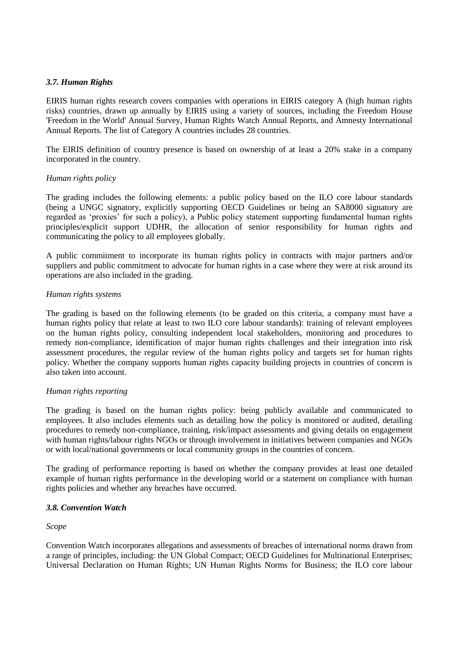# *3.7. Human Rights*

EIRIS human rights research covers companies with operations in EIRIS category A (high human rights risks) countries, drawn up annually by EIRIS using a variety of sources, including the Freedom House 'Freedom in the World' Annual Survey, Human Rights Watch Annual Reports, and Amnesty International Annual Reports. The list of Category A countries includes 28 countries.

The EIRIS definition of country presence is based on ownership of at least a 20% stake in a company incorporated in the country.

## *Human rights policy*

The grading includes the following elements: a public policy based on the ILO core labour standards (being a UNGC signatory, explicitly supporting OECD Guidelines or being an SA8000 signatory are regarded as "proxies" for such a policy), a Public policy statement supporting fundamental human rights principles/explicit support UDHR, the allocation of senior responsibility for human rights and communicating the policy to all employees globally.

A public commitment to incorporate its human rights policy in contracts with major partners and/or suppliers and public commitment to advocate for human rights in a case where they were at risk around its operations are also included in the grading.

## *Human rights systems*

The grading is based on the following elements (to be graded on this criteria, a company must have a human rights policy that relate at least to two ILO core labour standards): training of relevant employees on the human rights policy, consulting independent local stakeholders, monitoring and procedures to remedy non-compliance, identification of major human rights challenges and their integration into risk assessment procedures, the regular review of the human rights policy and targets set for human rights policy. Whether the company supports human rights capacity building projects in countries of concern is also taken into account.

## *Human rights reporting*

The grading is based on the human rights policy: being publicly available and communicated to employees. It also includes elements such as detailing how the policy is monitored or audited, detailing procedures to remedy non-compliance, training, risk/impact assessments and giving details on engagement with human rights/labour rights NGOs or through involvement in initiatives between companies and NGOs or with local/national governments or local community groups in the countries of concern.

The grading of performance reporting is based on whether the company provides at least one detailed example of human rights performance in the developing world or a statement on compliance with human rights policies and whether any breaches have occurred.

## *3.8. Convention Watch*

## *Scope*

Convention Watch incorporates allegations and assessments of breaches of international norms drawn from a range of principles, including: the UN Global Compact; OECD Guidelines for Multinational Enterprises; Universal Declaration on Human Rights; UN Human Rights Norms for Business; the ILO core labour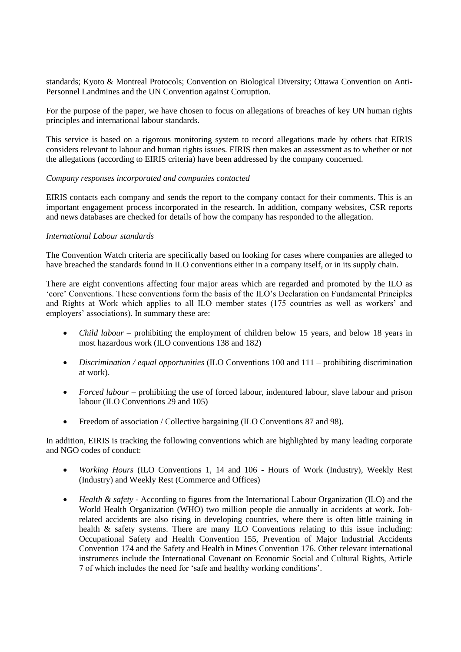standards; Kyoto & Montreal Protocols; Convention on Biological Diversity; Ottawa Convention on Anti-Personnel Landmines and the UN Convention against Corruption.

For the purpose of the paper, we have chosen to focus on allegations of breaches of key UN human rights principles and international labour standards.

This service is based on a rigorous monitoring system to record allegations made by others that EIRIS considers relevant to labour and human rights issues. EIRIS then makes an assessment as to whether or not the allegations (according to EIRIS criteria) have been addressed by the company concerned.

#### *Company responses incorporated and companies contacted*

EIRIS contacts each company and sends the report to the company contact for their comments. This is an important engagement process incorporated in the research. In addition, company websites, CSR reports and news databases are checked for details of how the company has responded to the allegation.

#### *International Labour standards*

The Convention Watch criteria are specifically based on looking for cases where companies are alleged to have breached the standards found in ILO conventions either in a company itself, or in its supply chain.

There are eight conventions affecting four major areas which are regarded and promoted by the ILO as "core" Conventions. These conventions form the basis of the ILO"s Declaration on Fundamental Principles and Rights at Work which applies to all ILO member states (175 countries as well as workers' and employers' associations). In summary these are:

- *Child labour* prohibiting the employment of children below 15 years, and below 18 years in most hazardous work (ILO conventions 138 and 182)
- *Discrimination / equal opportunities* (ILO Conventions 100 and 111 prohibiting discrimination at work).
- *Forced labour* prohibiting the use of forced labour, indentured labour, slave labour and prison labour (ILO Conventions 29 and 105)
- Freedom of association / Collective bargaining (ILO Conventions 87 and 98).

In addition, EIRIS is tracking the following conventions which are highlighted by many leading corporate and NGO codes of conduct:

- *Working Hours* (ILO Conventions 1, 14 and 106 Hours of Work (Industry), Weekly Rest (Industry) and Weekly Rest (Commerce and Offices)
- *Health & safety* According to figures from the International Labour Organization (ILO) and the World Health Organization (WHO) two million people die annually in accidents at work. Jobrelated accidents are also rising in developing countries, where there is often little training in health & safety systems. There are many ILO Conventions relating to this issue including: Occupational Safety and Health Convention 155, Prevention of Major Industrial Accidents Convention 174 and the Safety and Health in Mines Convention 176. Other relevant international instruments include the International Covenant on Economic Social and Cultural Rights, Article 7 of which includes the need for "safe and healthy working conditions".